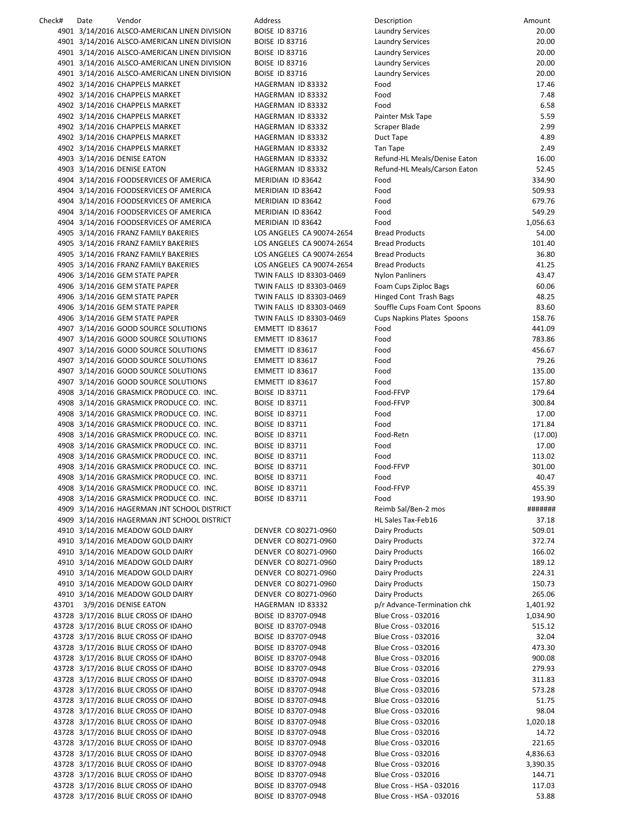| Check# | Date | Vendor                                       | Address                   | Description                   | Amount   |
|--------|------|----------------------------------------------|---------------------------|-------------------------------|----------|
|        |      | 4901 3/14/2016 ALSCO-AMERICAN LINEN DIVISION | <b>BOISE ID 83716</b>     | <b>Laundry Services</b>       | 20.00    |
|        |      | 4901 3/14/2016 ALSCO-AMERICAN LINEN DIVISION | <b>BOISE ID 83716</b>     | <b>Laundry Services</b>       | 20.00    |
|        |      | 4901 3/14/2016 ALSCO-AMERICAN LINEN DIVISION | <b>BOISE ID 83716</b>     | Laundry Services              | 20.00    |
|        |      | 4901 3/14/2016 ALSCO-AMERICAN LINEN DIVISION | <b>BOISE ID 83716</b>     | <b>Laundry Services</b>       | 20.00    |
|        |      | 4901 3/14/2016 ALSCO-AMERICAN LINEN DIVISION | <b>BOISE ID 83716</b>     | <b>Laundry Services</b>       | 20.00    |
|        |      | 4902 3/14/2016 CHAPPELS MARKET               | HAGERMAN ID 83332         | Food                          | 17.46    |
|        |      | 4902 3/14/2016 CHAPPELS MARKET               | HAGERMAN ID 83332         | Food                          | 7.48     |
|        |      | 4902 3/14/2016 CHAPPELS MARKET               | HAGERMAN ID 83332         | Food                          | 6.58     |
|        |      | 4902 3/14/2016 CHAPPELS MARKET               | HAGERMAN ID 83332         | Painter Msk Tape              | 5.59     |
|        |      | 4902 3/14/2016 CHAPPELS MARKET               | HAGERMAN ID 83332         | Scraper Blade                 | 2.99     |
|        |      | 4902 3/14/2016 CHAPPELS MARKET               | HAGERMAN ID 83332         | Duct Tape                     | 4.89     |
|        |      | 4902 3/14/2016 CHAPPELS MARKET               | HAGERMAN ID 83332         | Tan Tape                      | 2.49     |
|        |      | 4903 3/14/2016 DENISE EATON                  | HAGERMAN ID 83332         | Refund-HL Meals/Denise Eaton  | 16.00    |
|        |      | 4903 3/14/2016 DENISE EATON                  | HAGERMAN ID 83332         | Refund-HL Meals/Carson Eaton  | 52.45    |
|        |      | 4904 3/14/2016 FOODSERVICES OF AMERICA       | MERIDIAN ID 83642         | Food                          | 334.90   |
|        |      | 4904 3/14/2016 FOODSERVICES OF AMERICA       | MERIDIAN ID 83642         | Food                          | 509.93   |
|        |      | 4904 3/14/2016 FOODSERVICES OF AMERICA       | MERIDIAN ID 83642         | Food                          | 679.76   |
|        |      | 4904 3/14/2016 FOODSERVICES OF AMERICA       | MERIDIAN ID 83642         | Food                          | 549.29   |
|        |      | 4904 3/14/2016 FOODSERVICES OF AMERICA       | MERIDIAN ID 83642         | Food                          | 1,056.63 |
|        |      | 4905 3/14/2016 FRANZ FAMILY BAKERIES         | LOS ANGELES CA 90074-2654 | <b>Bread Products</b>         | 54.00    |
|        |      | 4905 3/14/2016 FRANZ FAMILY BAKERIES         | LOS ANGELES CA 90074-2654 | <b>Bread Products</b>         | 101.40   |
|        |      | 4905 3/14/2016 FRANZ FAMILY BAKERIES         | LOS ANGELES CA 90074-2654 | <b>Bread Products</b>         | 36.80    |
|        |      | 4905 3/14/2016 FRANZ FAMILY BAKERIES         | LOS ANGELES CA 90074-2654 | <b>Bread Products</b>         | 41.25    |
|        |      | 4906 3/14/2016 GEM STATE PAPER               | TWIN FALLS ID 83303-0469  | <b>Nylon Panliners</b>        | 43.47    |
|        |      | 4906 3/14/2016 GEM STATE PAPER               | TWIN FALLS ID 83303-0469  | Foam Cups Ziploc Bags         | 60.06    |
|        |      | 4906 3/14/2016 GEM STATE PAPER               | TWIN FALLS ID 83303-0469  | Hinged Cont Trash Bags        | 48.25    |
|        |      | 4906 3/14/2016 GEM STATE PAPER               | TWIN FALLS ID 83303-0469  | Souffle Cups Foam Cont Spoons | 83.60    |
|        |      | 4906 3/14/2016 GEM STATE PAPER               | TWIN FALLS ID 83303-0469  | Cups Napkins Plates Spoons    | 158.76   |
|        |      | 4907 3/14/2016 GOOD SOURCE SOLUTIONS         | EMMETT ID 83617           | Food                          | 441.09   |
|        |      | 4907 3/14/2016 GOOD SOURCE SOLUTIONS         | EMMETT ID 83617           | Food                          | 783.86   |
|        |      | 4907 3/14/2016 GOOD SOURCE SOLUTIONS         | EMMETT ID 83617           | Food                          | 456.67   |
|        |      | 4907 3/14/2016 GOOD SOURCE SOLUTIONS         | EMMETT ID 83617           | Food                          | 79.26    |
|        |      | 4907 3/14/2016 GOOD SOURCE SOLUTIONS         | EMMETT ID 83617           | Food                          | 135.00   |
|        |      |                                              | EMMETT ID 83617           | Food                          | 157.80   |
|        |      | 4907 3/14/2016 GOOD SOURCE SOLUTIONS         |                           |                               |          |
|        |      | 4908 3/14/2016 GRASMICK PRODUCE CO. INC.     | <b>BOISE ID 83711</b>     | Food-FFVP                     | 179.64   |
|        |      | 4908 3/14/2016 GRASMICK PRODUCE CO. INC.     | <b>BOISE ID 83711</b>     | Food-FFVP                     | 300.84   |
|        |      | 4908 3/14/2016 GRASMICK PRODUCE CO. INC.     | <b>BOISE ID 83711</b>     | Food                          | 17.00    |
|        |      | 4908 3/14/2016 GRASMICK PRODUCE CO. INC.     | <b>BOISE ID 83711</b>     | Food                          | 171.84   |
|        |      | 4908 3/14/2016 GRASMICK PRODUCE CO. INC.     | <b>BOISE ID 83711</b>     | Food-Retn                     | (17.00)  |
|        |      | 4908 3/14/2016 GRASMICK PRODUCE CO. INC.     | <b>BOISE ID 83711</b>     | Food                          | 17.00    |
|        |      | 4908 3/14/2016 GRASMICK PRODUCE CO. INC.     | <b>BOISE ID 83711</b>     | Food                          | 113.02   |
|        |      | 4908 3/14/2016 GRASMICK PRODUCE CO. INC.     | <b>BOISE ID 83711</b>     | Food-FFVP                     | 301.00   |
|        |      | 4908 3/14/2016 GRASMICK PRODUCE CO. INC.     | <b>BOISE ID 83711</b>     | Food                          | 40.47    |
|        |      | 4908 3/14/2016 GRASMICK PRODUCE CO. INC.     | <b>BOISE ID 83711</b>     | Food-FFVP                     | 455.39   |
|        |      | 4908 3/14/2016 GRASMICK PRODUCE CO. INC.     | <b>BOISE ID 83711</b>     | Food                          | 193.90   |
|        |      | 4909 3/14/2016 HAGERMAN JNT SCHOOL DISTRICT  |                           | Reimb Sal/Ben-2 mos           | #######  |
|        |      | 4909 3/14/2016 HAGERMAN JNT SCHOOL DISTRICT  |                           | HL Sales Tax-Feb16            | 37.18    |
|        |      | 4910 3/14/2016 MEADOW GOLD DAIRY             | DENVER CO 80271-0960      | <b>Dairy Products</b>         | 509.01   |
|        |      | 4910 3/14/2016 MEADOW GOLD DAIRY             | DENVER CO 80271-0960      | Dairy Products                | 372.74   |
|        |      | 4910 3/14/2016 MEADOW GOLD DAIRY             | DENVER CO 80271-0960      | <b>Dairy Products</b>         | 166.02   |
|        |      | 4910 3/14/2016 MEADOW GOLD DAIRY             | DENVER CO 80271-0960      | <b>Dairy Products</b>         | 189.12   |
|        |      | 4910 3/14/2016 MEADOW GOLD DAIRY             | DENVER CO 80271-0960      | Dairy Products                | 224.31   |
|        |      | 4910 3/14/2016 MEADOW GOLD DAIRY             | DENVER CO 80271-0960      | Dairy Products                | 150.73   |
|        |      | 4910 3/14/2016 MEADOW GOLD DAIRY             | DENVER CO 80271-0960      | Dairy Products                | 265.06   |
|        |      | 43701 3/9/2016 DENISE EATON                  | HAGERMAN ID 83332         | p/r Advance-Termination chk   | 1,401.92 |
|        |      | 43728 3/17/2016 BLUE CROSS OF IDAHO          | BOISE ID 83707-0948       | <b>Blue Cross - 032016</b>    | 1,034.90 |
|        |      | 43728 3/17/2016 BLUE CROSS OF IDAHO          | BOISE ID 83707-0948       | <b>Blue Cross - 032016</b>    | 515.12   |
|        |      | 43728 3/17/2016 BLUE CROSS OF IDAHO          | BOISE ID 83707-0948       | <b>Blue Cross - 032016</b>    | 32.04    |
|        |      | 43728 3/17/2016 BLUE CROSS OF IDAHO          | BOISE ID 83707-0948       | <b>Blue Cross - 032016</b>    | 473.30   |
|        |      | 43728 3/17/2016 BLUE CROSS OF IDAHO          | BOISE ID 83707-0948       | <b>Blue Cross - 032016</b>    | 900.08   |
|        |      | 43728 3/17/2016 BLUE CROSS OF IDAHO          | BOISE ID 83707-0948       | <b>Blue Cross - 032016</b>    | 279.93   |
|        |      | 43728 3/17/2016 BLUE CROSS OF IDAHO          | BOISE ID 83707-0948       | <b>Blue Cross - 032016</b>    | 311.83   |
|        |      | 43728 3/17/2016 BLUE CROSS OF IDAHO          | BOISE ID 83707-0948       | <b>Blue Cross - 032016</b>    | 573.28   |
|        |      | 43728 3/17/2016 BLUE CROSS OF IDAHO          | BOISE ID 83707-0948       | <b>Blue Cross - 032016</b>    | 51.75    |
|        |      | 43728 3/17/2016 BLUE CROSS OF IDAHO          | BOISE ID 83707-0948       | <b>Blue Cross - 032016</b>    | 98.04    |
|        |      | 43728 3/17/2016 BLUE CROSS OF IDAHO          | BOISE ID 83707-0948       | <b>Blue Cross - 032016</b>    | 1,020.18 |
|        |      | 43728 3/17/2016 BLUE CROSS OF IDAHO          | BOISE ID 83707-0948       | <b>Blue Cross - 032016</b>    | 14.72    |
|        |      | 43728 3/17/2016 BLUE CROSS OF IDAHO          | BOISE ID 83707-0948       | <b>Blue Cross - 032016</b>    | 221.65   |
|        |      | 43728 3/17/2016 BLUE CROSS OF IDAHO          | BOISE ID 83707-0948       | <b>Blue Cross - 032016</b>    | 4,836.63 |
|        |      | 43728 3/17/2016 BLUE CROSS OF IDAHO          | BOISE ID 83707-0948       | <b>Blue Cross - 032016</b>    | 3,390.35 |
|        |      | 43728 3/17/2016 BLUE CROSS OF IDAHO          | BOISE ID 83707-0948       | <b>Blue Cross - 032016</b>    | 144.71   |
|        |      | 43728 3/17/2016 BLUE CROSS OF IDAHO          | BOISE ID 83707-0948       | Blue Cross - HSA - 032016     | 117.03   |
|        |      | 43728 3/17/2016 BLUE CROSS OF IDAHO          | BOISE ID 83707-0948       | Blue Cross - HSA - 032016     | 53.88    |
|        |      |                                              |                           |                               |          |

| Description                                        | Amount             |
|----------------------------------------------------|--------------------|
| Laundry Services                                   | 20.00              |
| Laundry Services                                   | 20.00              |
| Laundry Services<br>Laundry Services               | 20.00<br>20.00     |
| Laundry Services                                   | 20.00              |
| Food                                               | 17.46              |
| Food                                               | 7.48               |
| Food                                               | 6.58               |
| Painter Msk Tape                                   | 5.59               |
| Scraper Blade                                      | 2.99               |
| Duct Tape<br>Tan Tape                              | 4.89<br>2.49       |
| Refund-HL Meals/Denise Eaton                       | 16.00              |
| Refund-HL Meals/Carson Eaton                       | 52.45              |
| Food                                               | 334.90             |
| Food                                               | 509.93             |
| Food                                               | 679.76             |
| Food                                               | 549.29             |
| Food                                               | 1,056.63           |
| <b>Bread Products</b><br>Bread Products            | 54.00<br>101.40    |
| Bread Products                                     | 36.80              |
| Bread Products                                     | 41.25              |
| Nylon Panliners                                    | 43.47              |
| Foam Cups Ziploc Bags                              | 60.06              |
| Hinged Cont Trash Bags                             | 48.25              |
| Souffle Cups Foam Cont Spoons                      | 83.60              |
| Cups Napkins Plates Spoons                         | 158.76             |
| Food                                               | 441.09             |
| Food<br>Food                                       | 783.86<br>456.67   |
| Food                                               | 79.26              |
| Food                                               | 135.00             |
| Food                                               | 157.80             |
| Food-FFVP                                          | 179.64             |
| Food-FFVP                                          | 300.84             |
| Food                                               | 17.00              |
| Food<br>Food-Retn                                  | 171.84<br>(17.00)  |
| Food                                               | 17.00              |
| Food                                               | 113.02             |
| Food-FFVP                                          | 301.00             |
| Food                                               | 40.47              |
| Food-FFVP                                          | 455.39             |
| Food                                               | 193.90             |
| Reimb Sal/Ben-2 mos<br>HL Sales Tax-Feb16          | #######            |
| Dairy Products                                     | 37.18<br>509.01    |
| Dairy Products                                     | 372.74             |
| Dairy Products                                     | 166.02             |
| Dairy Products                                     | 189.12             |
| Dairy Products                                     | 224.31             |
| Dairy Products                                     | 150.73             |
| Dairy Products                                     | 265.06             |
| p/r Advance-Termination chk<br>Blue Cross - 032016 | 1,401.92           |
| <b>Blue Cross - 032016</b>                         | 1,034.90<br>515.12 |
| Blue Cross - 032016                                | 32.04              |
| Blue Cross - 032016                                | 473.30             |
| <b>Blue Cross - 032016</b>                         | 900.08             |
| Blue Cross - 032016                                | 279.93             |
| Blue Cross - 032016                                | 311.83             |
| Blue Cross - 032016                                | 573.28             |
| Blue Cross - 032016<br>Blue Cross - 032016         | 51.75<br>98.04     |
| Blue Cross - 032016                                | 1,020.18           |
| <b>Blue Cross - 032016</b>                         | 14.72              |
| Blue Cross - 032016                                | 221.65             |
| Blue Cross - 032016                                | 4,836.63           |
| <b>Blue Cross - 032016</b>                         | 3,390.35           |
| <b>Blue Cross - 032016</b>                         | 144.71             |
| Blue Cross - HSA - 032016                          | 117.03             |
| Blue Cross - HSA - 032016                          | 53.88              |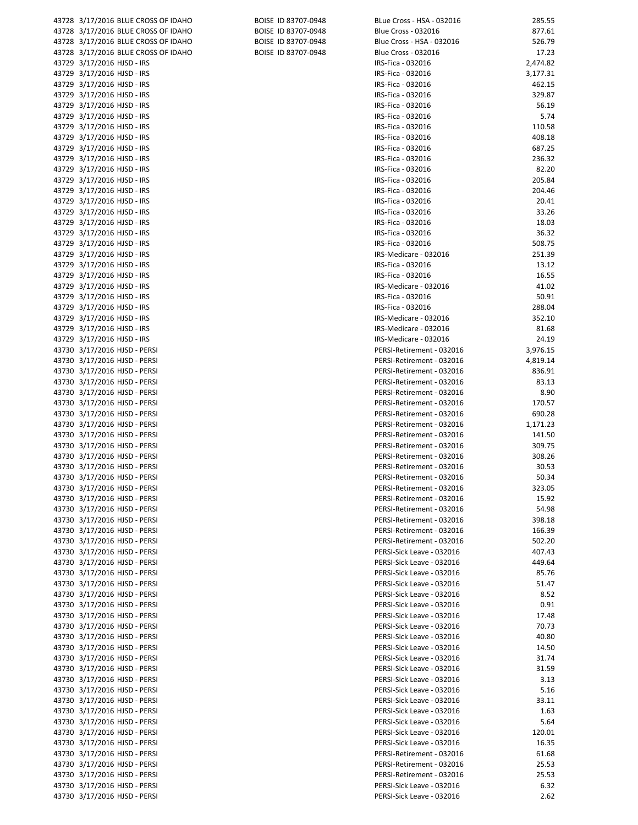| 43728 3/17/2016 BLUE CROSS OF IDAHO                          | BOISE ID 83707-0948 | В  |
|--------------------------------------------------------------|---------------------|----|
| 43728 3/17/2016 BLUE CROSS OF IDAHO                          | BOISE ID 83707-0948 | B  |
| 43728 3/17/2016 BLUE CROSS OF IDAHO                          | BOISE ID 83707-0948 | В  |
|                                                              |                     |    |
| 43728 3/17/2016 BLUE CROSS OF IDAHO                          | BOISE ID 83707-0948 | В  |
| 43729 3/17/2016 HJSD - IRS                                   |                     | IF |
| 43729 3/17/2016 HJSD - IRS                                   |                     | IF |
| 43729 3/17/2016 HJSD - IRS                                   |                     | IF |
| 43729 3/17/2016 HJSD - IRS                                   |                     | IF |
| 43729 3/17/2016 HJSD - IRS                                   |                     | IF |
| 43729 3/17/2016 HJSD - IRS                                   |                     | IF |
| 43729 3/17/2016 HJSD - IRS                                   |                     | IF |
| 43729 3/17/2016 HJSD - IRS                                   |                     | IF |
| 43729 3/17/2016 HJSD - IRS                                   |                     | IF |
| 43729 3/17/2016 HJSD - IRS                                   |                     | IF |
| 43729 3/17/2016 HJSD - IRS                                   |                     | IF |
| 43729 3/17/2016 HJSD - IRS                                   |                     | IF |
| 43729 3/17/2016 HJSD - IRS                                   |                     | IF |
|                                                              |                     |    |
| 43729 3/17/2016 HJSD - IRS                                   |                     | IF |
| 43729 3/17/2016 HJSD - IRS                                   |                     | IF |
| 43729 3/17/2016 HJSD - IRS                                   |                     | IF |
| 43729 3/17/2016 HJSD - IRS                                   |                     | IF |
| 43729 3/17/2016 HJSD - IRS                                   |                     | IF |
| 43729 3/17/2016 HJSD - IRS                                   |                     | IF |
| 43729 3/17/2016 HJSD - IRS                                   |                     | IF |
| 43729 3/17/2016 HJSD - IRS                                   |                     | IF |
| 43729 3/17/2016 HJSD - IRS                                   |                     | IF |
| 43729 3/17/2016 HJSD - IRS                                   |                     | IF |
| 43729 3/17/2016 HJSD - IRS                                   |                     | IF |
| 43729 3/17/2016 HJSD - IRS                                   |                     | IF |
| 43729 3/17/2016 HJSD - IRS                                   |                     | IF |
| 43729 3/17/2016 HJSD - IRS                                   |                     | IF |
| 43730 3/17/2016 HJSD - PERSI                                 |                     | P  |
| 43730 3/17/2016 HJSD - PERSI                                 |                     | P  |
| 43730 3/17/2016 HJSD - PERSI                                 |                     | P  |
| 43730 3/17/2016 HJSD - PERSI                                 |                     | P  |
| 43730 3/17/2016 HJSD - PERSI                                 |                     | P  |
| 43730 3/17/2016 HJSD - PERSI                                 |                     | P  |
| 43730 3/17/2016 HJSD - PERSI                                 |                     | P  |
|                                                              |                     | P  |
| 43730 3/17/2016 HJSD - PERSI                                 |                     | P  |
| 43730 3/17/2016 HJSD - PERSI                                 |                     |    |
| 43730 3/17/2016 HJSD - PERSI<br>43730 3/17/2016 HJSD - PERSI |                     | P  |
|                                                              |                     | P  |
| 43730 3/17/2016 HJSD - PERSI                                 |                     | P  |
| 43730 3/17/2016 HJSD - PERSI                                 |                     | P  |
| 43730 3/17/2016 HJSD - PERSI                                 |                     | P  |
| 43730 3/17/2016 HJSD - PERSI                                 |                     | P  |
| 43730 3/17/2016 HJSD - PERSI                                 |                     | P  |
| 43730 3/17/2016 HJSD - PERSI                                 |                     | P  |
| 43730 3/17/2016 HJSD - PERSI                                 |                     | P  |
| 43730 3/17/2016 HJSD - PERSI                                 |                     | P  |
| 43730 3/17/2016 HJSD - PERSI                                 |                     | P  |
| 43730 3/17/2016 HJSD - PERSI                                 |                     | P  |
| 43730 3/17/2016 HJSD - PERSI                                 |                     | P  |
| 43730 3/17/2016 HJSD - PERSI                                 |                     | P  |
| 43730 3/17/2016 HJSD - PERSI                                 |                     | P  |
| 43730 3/17/2016 HJSD - PERSI                                 |                     | P  |
| 43730 3/17/2016 HJSD - PERSI                                 |                     | P  |
| 43730 3/17/2016 HJSD - PERSI                                 |                     | P  |
| 43730 3/17/2016 HJSD - PERSI                                 |                     | P  |
| 43730 3/17/2016 HJSD - PERSI                                 |                     | P  |
| 43730 3/17/2016 HJSD - PERSI                                 |                     | P  |
| 43730 3/17/2016 HJSD - PERSI                                 |                     | P  |
| 43730 3/17/2016 HJSD - PERSI                                 |                     | P  |
| 43730 3/17/2016 HJSD - PERSI                                 |                     | P  |
| 43730 3/17/2016 HJSD - PERSI                                 |                     | P  |
| 43730 3/17/2016 HJSD - PERSI                                 |                     | P  |
| 43730 3/17/2016 HJSD - PERSI                                 |                     | P  |
| 43730 3/17/2016 HJSD - PERSI                                 |                     | P  |
| 43730 3/17/2016 HJSD - PERSI                                 |                     | P  |
| 43730 3/17/2016 HJSD - PERSI                                 |                     | P  |
| 43730 3/17/2016 HJSD - PERSI                                 |                     | P  |
| 43730 3/17/2016 HJSD - PERSI                                 |                     | P  |
| 43730 3/17/2016 HJSD - PERSI                                 |                     | P  |
| 43730 3/17/2016 HJSD - PERSI                                 |                     | P  |
|                                                              |                     |    |

| BOISE ID 83707-0948 |
|---------------------|
| BOISE ID 83707-0948 |
| BOISE ID 83707-0948 |
| BOISE ID 83707-0948 |

| 43728 3/17/2016 BLUE CROSS OF IDAHO<br>BOISE ID 83707-0948<br>BLue Cross - HSA - 032016<br>43728 3/17/2016 BLUE CROSS OF IDAHO<br>BOISE ID 83707-0948<br><b>Blue Cross - 032016</b><br>43728 3/17/2016 BLUE CROSS OF IDAHO<br>BOISE ID 83707-0948<br>Blue Cross - HSA - 032016<br>43728 3/17/2016 BLUE CROSS OF IDAHO<br>BOISE ID 83707-0948<br>Blue Cross - 032016<br>43729 3/17/2016 HJSD - IRS<br>IRS-Fica - 032016<br>43729 3/17/2016 HJSD - IRS<br>IRS-Fica - 032016<br>43729 3/17/2016 HJSD - IRS<br>IRS-Fica - 032016<br>43729 3/17/2016 HJSD - IRS<br>IRS-Fica - 032016<br>43729 3/17/2016 HJSD - IRS<br>IRS-Fica - 032016<br>43729 3/17/2016 HJSD - IRS<br>IRS-Fica - 032016<br>IRS-Fica - 032016<br>IRS-Fica - 032016<br>IRS-Fica - 032016<br>IRS-Fica - 032016<br>IRS-Fica - 032016<br>IRS-Fica - 032016<br>IRS-Fica - 032016<br>IRS-Fica - 032016<br>IRS-Fica - 032016<br>IRS-Fica - 032016<br>IRS-Fica - 032016<br>IRS-Fica - 032016<br>IRS-Medicare - 032016<br>IRS-Fica - 032016<br>IRS-Fica - 032016<br>IRS-Medicare - 032016<br>IRS-Fica - 032016<br>IRS-Fica - 032016<br>IRS-Medicare - 032016<br>IRS-Medicare - 032016<br>IRS-Medicare - 032016<br>PERSI-Retirement - 032016<br>PERSI-Retirement - 032016<br>PERSI-Retirement - 032016<br>PERSI-Retirement - 032016<br>PERSI-Retirement - 032016<br>PERSI-Retirement - 032016<br>PERSI-Retirement - 032016<br>PERSI-Retirement - 032016<br>PERSI-Retirement - 032016<br>PERSI-Retirement - 032016<br>PERSI-Retirement - 032016<br>PERSI-Retirement - 032016<br>PERSI-Retirement - 032016<br>PERSI-Retirement - 032016<br>PERSI-Retirement - 032016<br>PERSI-Retirement - 032016<br>PERSI-Retirement - 032016<br>PERSI-Retirement - 032016<br>PERSI-Retirement - 032016<br>PERSI-Sick Leave - 032016<br>PERSI-Sick Leave - 032016<br>PERSI-Sick Leave - 032016<br>PERSI-Sick Leave - 032016<br>PERSI-Sick Leave - 032016<br>PERSI-Sick Leave - 032016<br>PERSI-Sick Leave - 032016<br>PERSI-Sick Leave - 032016<br>PERSI-Sick Leave - 032016<br>PERSI-Sick Leave - 032016<br>PERSI-Sick Leave - 032016<br>PERSI-Sick Leave - 032016<br>PERSI-Sick Leave - 032016<br>PERSI-Sick Leave - 032016<br>PERSI-Sick Leave - 032016<br>PERSI-Sick Leave - 032016<br>PERSI-Sick Leave - 032016<br>PERSI-Sick Leave - 032016<br>PERSI-Sick Leave - 032016<br>PERSI-Retirement - 032016<br>PERSI-Retirement - 032016<br>PERSI-Retirement - 032016<br>PERSI-Sick Leave - 032016 |                              |  |                           |                |
|--------------------------------------------------------------------------------------------------------------------------------------------------------------------------------------------------------------------------------------------------------------------------------------------------------------------------------------------------------------------------------------------------------------------------------------------------------------------------------------------------------------------------------------------------------------------------------------------------------------------------------------------------------------------------------------------------------------------------------------------------------------------------------------------------------------------------------------------------------------------------------------------------------------------------------------------------------------------------------------------------------------------------------------------------------------------------------------------------------------------------------------------------------------------------------------------------------------------------------------------------------------------------------------------------------------------------------------------------------------------------------------------------------------------------------------------------------------------------------------------------------------------------------------------------------------------------------------------------------------------------------------------------------------------------------------------------------------------------------------------------------------------------------------------------------------------------------------------------------------------------------------------------------------------------------------------------------------------------------------------------------------------------------------------------------------------------------------------------------------------------------------------------------------------------------------------------------------------------------------------------------------------------------------------------------------------------------------------------------------------------------------------------------------------------------------|------------------------------|--|---------------------------|----------------|
|                                                                                                                                                                                                                                                                                                                                                                                                                                                                                                                                                                                                                                                                                                                                                                                                                                                                                                                                                                                                                                                                                                                                                                                                                                                                                                                                                                                                                                                                                                                                                                                                                                                                                                                                                                                                                                                                                                                                                                                                                                                                                                                                                                                                                                                                                                                                                                                                                                      |                              |  |                           | 285.55         |
|                                                                                                                                                                                                                                                                                                                                                                                                                                                                                                                                                                                                                                                                                                                                                                                                                                                                                                                                                                                                                                                                                                                                                                                                                                                                                                                                                                                                                                                                                                                                                                                                                                                                                                                                                                                                                                                                                                                                                                                                                                                                                                                                                                                                                                                                                                                                                                                                                                      |                              |  |                           | 877.61         |
|                                                                                                                                                                                                                                                                                                                                                                                                                                                                                                                                                                                                                                                                                                                                                                                                                                                                                                                                                                                                                                                                                                                                                                                                                                                                                                                                                                                                                                                                                                                                                                                                                                                                                                                                                                                                                                                                                                                                                                                                                                                                                                                                                                                                                                                                                                                                                                                                                                      |                              |  |                           | 526.79         |
|                                                                                                                                                                                                                                                                                                                                                                                                                                                                                                                                                                                                                                                                                                                                                                                                                                                                                                                                                                                                                                                                                                                                                                                                                                                                                                                                                                                                                                                                                                                                                                                                                                                                                                                                                                                                                                                                                                                                                                                                                                                                                                                                                                                                                                                                                                                                                                                                                                      |                              |  |                           | 17.23          |
|                                                                                                                                                                                                                                                                                                                                                                                                                                                                                                                                                                                                                                                                                                                                                                                                                                                                                                                                                                                                                                                                                                                                                                                                                                                                                                                                                                                                                                                                                                                                                                                                                                                                                                                                                                                                                                                                                                                                                                                                                                                                                                                                                                                                                                                                                                                                                                                                                                      |                              |  |                           | 2,474.82       |
|                                                                                                                                                                                                                                                                                                                                                                                                                                                                                                                                                                                                                                                                                                                                                                                                                                                                                                                                                                                                                                                                                                                                                                                                                                                                                                                                                                                                                                                                                                                                                                                                                                                                                                                                                                                                                                                                                                                                                                                                                                                                                                                                                                                                                                                                                                                                                                                                                                      |                              |  |                           | 3,177.31       |
|                                                                                                                                                                                                                                                                                                                                                                                                                                                                                                                                                                                                                                                                                                                                                                                                                                                                                                                                                                                                                                                                                                                                                                                                                                                                                                                                                                                                                                                                                                                                                                                                                                                                                                                                                                                                                                                                                                                                                                                                                                                                                                                                                                                                                                                                                                                                                                                                                                      |                              |  |                           | 462.15         |
|                                                                                                                                                                                                                                                                                                                                                                                                                                                                                                                                                                                                                                                                                                                                                                                                                                                                                                                                                                                                                                                                                                                                                                                                                                                                                                                                                                                                                                                                                                                                                                                                                                                                                                                                                                                                                                                                                                                                                                                                                                                                                                                                                                                                                                                                                                                                                                                                                                      |                              |  |                           | 329.87         |
|                                                                                                                                                                                                                                                                                                                                                                                                                                                                                                                                                                                                                                                                                                                                                                                                                                                                                                                                                                                                                                                                                                                                                                                                                                                                                                                                                                                                                                                                                                                                                                                                                                                                                                                                                                                                                                                                                                                                                                                                                                                                                                                                                                                                                                                                                                                                                                                                                                      |                              |  |                           | 56.19          |
| 43729 3/17/2016 HJSD - IRS<br>43729 3/17/2016 HJSD - IRS<br>43729 3/17/2016 HJSD - IRS<br>43729 3/17/2016 HJSD - IRS<br>43729 3/17/2016 HJSD - IRS<br>43729 3/17/2016 HJSD - IRS<br>43729 3/17/2016 HJSD - IRS<br>43729 3/17/2016 HJSD - IRS<br>43729 3/17/2016 HJSD - IRS<br>43729 3/17/2016 HJSD - IRS<br>43729 3/17/2016 HJSD - IRS<br>43729 3/17/2016 HJSD - IRS<br>43729 3/17/2016 HJSD - IRS<br>43729 3/17/2016 HJSD - IRS<br>43729 3/17/2016 HJSD - IRS<br>43729 3/17/2016 HJSD - IRS<br>43729 3/17/2016 HJSD - IRS<br>43729 3/17/2016 HJSD - IRS<br>43729 3/17/2016 HJSD - IRS<br>43729 3/17/2016 HJSD - IRS<br>43729 3/17/2016 HJSD - IRS<br>43730 3/17/2016 HJSD - PERSI<br>43730 3/17/2016 HJSD - PERSI<br>43730 3/17/2016 HJSD - PERSI<br>43730 3/17/2016 HJSD - PERSI<br>43730 3/17/2016 HJSD - PERSI<br>43730 3/17/2016 HJSD - PERSI<br>43730 3/17/2016 HJSD - PERSI<br>43730 3/17/2016 HJSD - PERSI<br>43730 3/17/2016 HJSD - PERSI<br>43730 3/17/2016 HJSD - PERSI<br>43730 3/17/2016 HJSD - PERSI<br>43730 3/17/2016 HJSD - PERSI<br>43730 3/17/2016 HJSD - PERSI<br>43730 3/17/2016 HJSD - PERSI<br>43730 3/17/2016 HJSD - PERSI<br>43730 3/17/2016 HJSD - PERSI<br>43730 3/17/2016 HJSD - PERSI<br>43730 3/17/2016 HJSD - PERSI<br>43730 3/17/2016 HJSD - PERSI<br>43730 3/17/2016 HJSD - PERSI<br>43730 3/17/2016 HJSD - PERSI<br>43730 3/17/2016 HJSD - PERSI<br>43730 3/17/2016 HJSD - PERSI<br>43730 3/17/2016 HJSD - PERSI<br>43730 3/17/2016 HJSD - PERSI<br>43730 3/17/2016 HJSD - PERSI<br>43730 3/17/2016 HJSD - PERSI<br>43730 3/17/2016 HJSD - PERSI<br>43730 3/17/2016 HJSD - PERSI<br>43730 3/17/2016 HJSD - PERSI<br>43730 3/17/2016 HJSD - PERSI<br>43730 3/17/2016 HJSD - PERSI<br>43730 3/17/2016 HJSD - PERSI<br>43730 3/17/2016 HJSD - PERSI<br>43730 3/17/2016 HJSD - PERSI<br>43730 3/17/2016 HJSD - PERSI<br>43730 3/17/2016 HJSD - PERSI<br>43730 3/17/2016 HJSD - PERSI<br>43730 3/17/2016 HJSD - PERSI<br>43730 3/17/2016 HJSD - PERSI<br>43730 3/17/2016 HJSD - PERSI<br>43730 3/17/2016 HJSD - PERSI                                                                                                                                                                                                                                                                                                                                                                                   |                              |  |                           | 5.74           |
|                                                                                                                                                                                                                                                                                                                                                                                                                                                                                                                                                                                                                                                                                                                                                                                                                                                                                                                                                                                                                                                                                                                                                                                                                                                                                                                                                                                                                                                                                                                                                                                                                                                                                                                                                                                                                                                                                                                                                                                                                                                                                                                                                                                                                                                                                                                                                                                                                                      |                              |  |                           | 110.58         |
|                                                                                                                                                                                                                                                                                                                                                                                                                                                                                                                                                                                                                                                                                                                                                                                                                                                                                                                                                                                                                                                                                                                                                                                                                                                                                                                                                                                                                                                                                                                                                                                                                                                                                                                                                                                                                                                                                                                                                                                                                                                                                                                                                                                                                                                                                                                                                                                                                                      |                              |  |                           | 408.18         |
|                                                                                                                                                                                                                                                                                                                                                                                                                                                                                                                                                                                                                                                                                                                                                                                                                                                                                                                                                                                                                                                                                                                                                                                                                                                                                                                                                                                                                                                                                                                                                                                                                                                                                                                                                                                                                                                                                                                                                                                                                                                                                                                                                                                                                                                                                                                                                                                                                                      |                              |  |                           | 687.25         |
|                                                                                                                                                                                                                                                                                                                                                                                                                                                                                                                                                                                                                                                                                                                                                                                                                                                                                                                                                                                                                                                                                                                                                                                                                                                                                                                                                                                                                                                                                                                                                                                                                                                                                                                                                                                                                                                                                                                                                                                                                                                                                                                                                                                                                                                                                                                                                                                                                                      |                              |  |                           | 236.32         |
|                                                                                                                                                                                                                                                                                                                                                                                                                                                                                                                                                                                                                                                                                                                                                                                                                                                                                                                                                                                                                                                                                                                                                                                                                                                                                                                                                                                                                                                                                                                                                                                                                                                                                                                                                                                                                                                                                                                                                                                                                                                                                                                                                                                                                                                                                                                                                                                                                                      |                              |  |                           | 82.20          |
|                                                                                                                                                                                                                                                                                                                                                                                                                                                                                                                                                                                                                                                                                                                                                                                                                                                                                                                                                                                                                                                                                                                                                                                                                                                                                                                                                                                                                                                                                                                                                                                                                                                                                                                                                                                                                                                                                                                                                                                                                                                                                                                                                                                                                                                                                                                                                                                                                                      |                              |  |                           | 205.84         |
|                                                                                                                                                                                                                                                                                                                                                                                                                                                                                                                                                                                                                                                                                                                                                                                                                                                                                                                                                                                                                                                                                                                                                                                                                                                                                                                                                                                                                                                                                                                                                                                                                                                                                                                                                                                                                                                                                                                                                                                                                                                                                                                                                                                                                                                                                                                                                                                                                                      |                              |  |                           | 204.46         |
|                                                                                                                                                                                                                                                                                                                                                                                                                                                                                                                                                                                                                                                                                                                                                                                                                                                                                                                                                                                                                                                                                                                                                                                                                                                                                                                                                                                                                                                                                                                                                                                                                                                                                                                                                                                                                                                                                                                                                                                                                                                                                                                                                                                                                                                                                                                                                                                                                                      |                              |  |                           | 20.41          |
|                                                                                                                                                                                                                                                                                                                                                                                                                                                                                                                                                                                                                                                                                                                                                                                                                                                                                                                                                                                                                                                                                                                                                                                                                                                                                                                                                                                                                                                                                                                                                                                                                                                                                                                                                                                                                                                                                                                                                                                                                                                                                                                                                                                                                                                                                                                                                                                                                                      |                              |  |                           | 33.26<br>18.03 |
|                                                                                                                                                                                                                                                                                                                                                                                                                                                                                                                                                                                                                                                                                                                                                                                                                                                                                                                                                                                                                                                                                                                                                                                                                                                                                                                                                                                                                                                                                                                                                                                                                                                                                                                                                                                                                                                                                                                                                                                                                                                                                                                                                                                                                                                                                                                                                                                                                                      |                              |  |                           | 36.32          |
|                                                                                                                                                                                                                                                                                                                                                                                                                                                                                                                                                                                                                                                                                                                                                                                                                                                                                                                                                                                                                                                                                                                                                                                                                                                                                                                                                                                                                                                                                                                                                                                                                                                                                                                                                                                                                                                                                                                                                                                                                                                                                                                                                                                                                                                                                                                                                                                                                                      |                              |  |                           | 508.75         |
|                                                                                                                                                                                                                                                                                                                                                                                                                                                                                                                                                                                                                                                                                                                                                                                                                                                                                                                                                                                                                                                                                                                                                                                                                                                                                                                                                                                                                                                                                                                                                                                                                                                                                                                                                                                                                                                                                                                                                                                                                                                                                                                                                                                                                                                                                                                                                                                                                                      |                              |  |                           | 251.39         |
|                                                                                                                                                                                                                                                                                                                                                                                                                                                                                                                                                                                                                                                                                                                                                                                                                                                                                                                                                                                                                                                                                                                                                                                                                                                                                                                                                                                                                                                                                                                                                                                                                                                                                                                                                                                                                                                                                                                                                                                                                                                                                                                                                                                                                                                                                                                                                                                                                                      |                              |  |                           | 13.12          |
|                                                                                                                                                                                                                                                                                                                                                                                                                                                                                                                                                                                                                                                                                                                                                                                                                                                                                                                                                                                                                                                                                                                                                                                                                                                                                                                                                                                                                                                                                                                                                                                                                                                                                                                                                                                                                                                                                                                                                                                                                                                                                                                                                                                                                                                                                                                                                                                                                                      |                              |  |                           | 16.55          |
|                                                                                                                                                                                                                                                                                                                                                                                                                                                                                                                                                                                                                                                                                                                                                                                                                                                                                                                                                                                                                                                                                                                                                                                                                                                                                                                                                                                                                                                                                                                                                                                                                                                                                                                                                                                                                                                                                                                                                                                                                                                                                                                                                                                                                                                                                                                                                                                                                                      |                              |  |                           | 41.02          |
|                                                                                                                                                                                                                                                                                                                                                                                                                                                                                                                                                                                                                                                                                                                                                                                                                                                                                                                                                                                                                                                                                                                                                                                                                                                                                                                                                                                                                                                                                                                                                                                                                                                                                                                                                                                                                                                                                                                                                                                                                                                                                                                                                                                                                                                                                                                                                                                                                                      |                              |  |                           | 50.91          |
|                                                                                                                                                                                                                                                                                                                                                                                                                                                                                                                                                                                                                                                                                                                                                                                                                                                                                                                                                                                                                                                                                                                                                                                                                                                                                                                                                                                                                                                                                                                                                                                                                                                                                                                                                                                                                                                                                                                                                                                                                                                                                                                                                                                                                                                                                                                                                                                                                                      |                              |  |                           | 288.04         |
|                                                                                                                                                                                                                                                                                                                                                                                                                                                                                                                                                                                                                                                                                                                                                                                                                                                                                                                                                                                                                                                                                                                                                                                                                                                                                                                                                                                                                                                                                                                                                                                                                                                                                                                                                                                                                                                                                                                                                                                                                                                                                                                                                                                                                                                                                                                                                                                                                                      |                              |  |                           | 352.10         |
|                                                                                                                                                                                                                                                                                                                                                                                                                                                                                                                                                                                                                                                                                                                                                                                                                                                                                                                                                                                                                                                                                                                                                                                                                                                                                                                                                                                                                                                                                                                                                                                                                                                                                                                                                                                                                                                                                                                                                                                                                                                                                                                                                                                                                                                                                                                                                                                                                                      |                              |  |                           | 81.68          |
|                                                                                                                                                                                                                                                                                                                                                                                                                                                                                                                                                                                                                                                                                                                                                                                                                                                                                                                                                                                                                                                                                                                                                                                                                                                                                                                                                                                                                                                                                                                                                                                                                                                                                                                                                                                                                                                                                                                                                                                                                                                                                                                                                                                                                                                                                                                                                                                                                                      |                              |  |                           | 24.19          |
|                                                                                                                                                                                                                                                                                                                                                                                                                                                                                                                                                                                                                                                                                                                                                                                                                                                                                                                                                                                                                                                                                                                                                                                                                                                                                                                                                                                                                                                                                                                                                                                                                                                                                                                                                                                                                                                                                                                                                                                                                                                                                                                                                                                                                                                                                                                                                                                                                                      |                              |  |                           | 3,976.15       |
|                                                                                                                                                                                                                                                                                                                                                                                                                                                                                                                                                                                                                                                                                                                                                                                                                                                                                                                                                                                                                                                                                                                                                                                                                                                                                                                                                                                                                                                                                                                                                                                                                                                                                                                                                                                                                                                                                                                                                                                                                                                                                                                                                                                                                                                                                                                                                                                                                                      |                              |  |                           | 4,819.14       |
|                                                                                                                                                                                                                                                                                                                                                                                                                                                                                                                                                                                                                                                                                                                                                                                                                                                                                                                                                                                                                                                                                                                                                                                                                                                                                                                                                                                                                                                                                                                                                                                                                                                                                                                                                                                                                                                                                                                                                                                                                                                                                                                                                                                                                                                                                                                                                                                                                                      |                              |  |                           | 836.91         |
|                                                                                                                                                                                                                                                                                                                                                                                                                                                                                                                                                                                                                                                                                                                                                                                                                                                                                                                                                                                                                                                                                                                                                                                                                                                                                                                                                                                                                                                                                                                                                                                                                                                                                                                                                                                                                                                                                                                                                                                                                                                                                                                                                                                                                                                                                                                                                                                                                                      |                              |  |                           | 83.13          |
|                                                                                                                                                                                                                                                                                                                                                                                                                                                                                                                                                                                                                                                                                                                                                                                                                                                                                                                                                                                                                                                                                                                                                                                                                                                                                                                                                                                                                                                                                                                                                                                                                                                                                                                                                                                                                                                                                                                                                                                                                                                                                                                                                                                                                                                                                                                                                                                                                                      |                              |  |                           | 8.90           |
|                                                                                                                                                                                                                                                                                                                                                                                                                                                                                                                                                                                                                                                                                                                                                                                                                                                                                                                                                                                                                                                                                                                                                                                                                                                                                                                                                                                                                                                                                                                                                                                                                                                                                                                                                                                                                                                                                                                                                                                                                                                                                                                                                                                                                                                                                                                                                                                                                                      |                              |  |                           | 170.57         |
|                                                                                                                                                                                                                                                                                                                                                                                                                                                                                                                                                                                                                                                                                                                                                                                                                                                                                                                                                                                                                                                                                                                                                                                                                                                                                                                                                                                                                                                                                                                                                                                                                                                                                                                                                                                                                                                                                                                                                                                                                                                                                                                                                                                                                                                                                                                                                                                                                                      |                              |  |                           | 690.28         |
|                                                                                                                                                                                                                                                                                                                                                                                                                                                                                                                                                                                                                                                                                                                                                                                                                                                                                                                                                                                                                                                                                                                                                                                                                                                                                                                                                                                                                                                                                                                                                                                                                                                                                                                                                                                                                                                                                                                                                                                                                                                                                                                                                                                                                                                                                                                                                                                                                                      |                              |  |                           | 1,171.23       |
|                                                                                                                                                                                                                                                                                                                                                                                                                                                                                                                                                                                                                                                                                                                                                                                                                                                                                                                                                                                                                                                                                                                                                                                                                                                                                                                                                                                                                                                                                                                                                                                                                                                                                                                                                                                                                                                                                                                                                                                                                                                                                                                                                                                                                                                                                                                                                                                                                                      |                              |  |                           | 141.50         |
|                                                                                                                                                                                                                                                                                                                                                                                                                                                                                                                                                                                                                                                                                                                                                                                                                                                                                                                                                                                                                                                                                                                                                                                                                                                                                                                                                                                                                                                                                                                                                                                                                                                                                                                                                                                                                                                                                                                                                                                                                                                                                                                                                                                                                                                                                                                                                                                                                                      |                              |  |                           | 309.75         |
|                                                                                                                                                                                                                                                                                                                                                                                                                                                                                                                                                                                                                                                                                                                                                                                                                                                                                                                                                                                                                                                                                                                                                                                                                                                                                                                                                                                                                                                                                                                                                                                                                                                                                                                                                                                                                                                                                                                                                                                                                                                                                                                                                                                                                                                                                                                                                                                                                                      |                              |  |                           | 308.26         |
|                                                                                                                                                                                                                                                                                                                                                                                                                                                                                                                                                                                                                                                                                                                                                                                                                                                                                                                                                                                                                                                                                                                                                                                                                                                                                                                                                                                                                                                                                                                                                                                                                                                                                                                                                                                                                                                                                                                                                                                                                                                                                                                                                                                                                                                                                                                                                                                                                                      |                              |  |                           | 30.53          |
|                                                                                                                                                                                                                                                                                                                                                                                                                                                                                                                                                                                                                                                                                                                                                                                                                                                                                                                                                                                                                                                                                                                                                                                                                                                                                                                                                                                                                                                                                                                                                                                                                                                                                                                                                                                                                                                                                                                                                                                                                                                                                                                                                                                                                                                                                                                                                                                                                                      |                              |  |                           | 50.34          |
|                                                                                                                                                                                                                                                                                                                                                                                                                                                                                                                                                                                                                                                                                                                                                                                                                                                                                                                                                                                                                                                                                                                                                                                                                                                                                                                                                                                                                                                                                                                                                                                                                                                                                                                                                                                                                                                                                                                                                                                                                                                                                                                                                                                                                                                                                                                                                                                                                                      |                              |  |                           | 323.05         |
|                                                                                                                                                                                                                                                                                                                                                                                                                                                                                                                                                                                                                                                                                                                                                                                                                                                                                                                                                                                                                                                                                                                                                                                                                                                                                                                                                                                                                                                                                                                                                                                                                                                                                                                                                                                                                                                                                                                                                                                                                                                                                                                                                                                                                                                                                                                                                                                                                                      |                              |  |                           | 15.92          |
|                                                                                                                                                                                                                                                                                                                                                                                                                                                                                                                                                                                                                                                                                                                                                                                                                                                                                                                                                                                                                                                                                                                                                                                                                                                                                                                                                                                                                                                                                                                                                                                                                                                                                                                                                                                                                                                                                                                                                                                                                                                                                                                                                                                                                                                                                                                                                                                                                                      |                              |  |                           | 54.98          |
|                                                                                                                                                                                                                                                                                                                                                                                                                                                                                                                                                                                                                                                                                                                                                                                                                                                                                                                                                                                                                                                                                                                                                                                                                                                                                                                                                                                                                                                                                                                                                                                                                                                                                                                                                                                                                                                                                                                                                                                                                                                                                                                                                                                                                                                                                                                                                                                                                                      |                              |  |                           | 398.18         |
|                                                                                                                                                                                                                                                                                                                                                                                                                                                                                                                                                                                                                                                                                                                                                                                                                                                                                                                                                                                                                                                                                                                                                                                                                                                                                                                                                                                                                                                                                                                                                                                                                                                                                                                                                                                                                                                                                                                                                                                                                                                                                                                                                                                                                                                                                                                                                                                                                                      |                              |  |                           | 166.39         |
|                                                                                                                                                                                                                                                                                                                                                                                                                                                                                                                                                                                                                                                                                                                                                                                                                                                                                                                                                                                                                                                                                                                                                                                                                                                                                                                                                                                                                                                                                                                                                                                                                                                                                                                                                                                                                                                                                                                                                                                                                                                                                                                                                                                                                                                                                                                                                                                                                                      |                              |  |                           | 502.20         |
|                                                                                                                                                                                                                                                                                                                                                                                                                                                                                                                                                                                                                                                                                                                                                                                                                                                                                                                                                                                                                                                                                                                                                                                                                                                                                                                                                                                                                                                                                                                                                                                                                                                                                                                                                                                                                                                                                                                                                                                                                                                                                                                                                                                                                                                                                                                                                                                                                                      |                              |  |                           | 407.43         |
|                                                                                                                                                                                                                                                                                                                                                                                                                                                                                                                                                                                                                                                                                                                                                                                                                                                                                                                                                                                                                                                                                                                                                                                                                                                                                                                                                                                                                                                                                                                                                                                                                                                                                                                                                                                                                                                                                                                                                                                                                                                                                                                                                                                                                                                                                                                                                                                                                                      |                              |  |                           | 449.64         |
|                                                                                                                                                                                                                                                                                                                                                                                                                                                                                                                                                                                                                                                                                                                                                                                                                                                                                                                                                                                                                                                                                                                                                                                                                                                                                                                                                                                                                                                                                                                                                                                                                                                                                                                                                                                                                                                                                                                                                                                                                                                                                                                                                                                                                                                                                                                                                                                                                                      |                              |  |                           | 85.76          |
|                                                                                                                                                                                                                                                                                                                                                                                                                                                                                                                                                                                                                                                                                                                                                                                                                                                                                                                                                                                                                                                                                                                                                                                                                                                                                                                                                                                                                                                                                                                                                                                                                                                                                                                                                                                                                                                                                                                                                                                                                                                                                                                                                                                                                                                                                                                                                                                                                                      |                              |  |                           | 51.47          |
|                                                                                                                                                                                                                                                                                                                                                                                                                                                                                                                                                                                                                                                                                                                                                                                                                                                                                                                                                                                                                                                                                                                                                                                                                                                                                                                                                                                                                                                                                                                                                                                                                                                                                                                                                                                                                                                                                                                                                                                                                                                                                                                                                                                                                                                                                                                                                                                                                                      |                              |  |                           | 8.52           |
|                                                                                                                                                                                                                                                                                                                                                                                                                                                                                                                                                                                                                                                                                                                                                                                                                                                                                                                                                                                                                                                                                                                                                                                                                                                                                                                                                                                                                                                                                                                                                                                                                                                                                                                                                                                                                                                                                                                                                                                                                                                                                                                                                                                                                                                                                                                                                                                                                                      |                              |  |                           | 0.91           |
|                                                                                                                                                                                                                                                                                                                                                                                                                                                                                                                                                                                                                                                                                                                                                                                                                                                                                                                                                                                                                                                                                                                                                                                                                                                                                                                                                                                                                                                                                                                                                                                                                                                                                                                                                                                                                                                                                                                                                                                                                                                                                                                                                                                                                                                                                                                                                                                                                                      |                              |  |                           | 17.48          |
|                                                                                                                                                                                                                                                                                                                                                                                                                                                                                                                                                                                                                                                                                                                                                                                                                                                                                                                                                                                                                                                                                                                                                                                                                                                                                                                                                                                                                                                                                                                                                                                                                                                                                                                                                                                                                                                                                                                                                                                                                                                                                                                                                                                                                                                                                                                                                                                                                                      |                              |  |                           | 70.73          |
|                                                                                                                                                                                                                                                                                                                                                                                                                                                                                                                                                                                                                                                                                                                                                                                                                                                                                                                                                                                                                                                                                                                                                                                                                                                                                                                                                                                                                                                                                                                                                                                                                                                                                                                                                                                                                                                                                                                                                                                                                                                                                                                                                                                                                                                                                                                                                                                                                                      |                              |  |                           | 40.80<br>14.50 |
|                                                                                                                                                                                                                                                                                                                                                                                                                                                                                                                                                                                                                                                                                                                                                                                                                                                                                                                                                                                                                                                                                                                                                                                                                                                                                                                                                                                                                                                                                                                                                                                                                                                                                                                                                                                                                                                                                                                                                                                                                                                                                                                                                                                                                                                                                                                                                                                                                                      |                              |  |                           | 31.74          |
|                                                                                                                                                                                                                                                                                                                                                                                                                                                                                                                                                                                                                                                                                                                                                                                                                                                                                                                                                                                                                                                                                                                                                                                                                                                                                                                                                                                                                                                                                                                                                                                                                                                                                                                                                                                                                                                                                                                                                                                                                                                                                                                                                                                                                                                                                                                                                                                                                                      |                              |  |                           | 31.59          |
|                                                                                                                                                                                                                                                                                                                                                                                                                                                                                                                                                                                                                                                                                                                                                                                                                                                                                                                                                                                                                                                                                                                                                                                                                                                                                                                                                                                                                                                                                                                                                                                                                                                                                                                                                                                                                                                                                                                                                                                                                                                                                                                                                                                                                                                                                                                                                                                                                                      |                              |  |                           | 3.13           |
|                                                                                                                                                                                                                                                                                                                                                                                                                                                                                                                                                                                                                                                                                                                                                                                                                                                                                                                                                                                                                                                                                                                                                                                                                                                                                                                                                                                                                                                                                                                                                                                                                                                                                                                                                                                                                                                                                                                                                                                                                                                                                                                                                                                                                                                                                                                                                                                                                                      |                              |  |                           | 5.16           |
|                                                                                                                                                                                                                                                                                                                                                                                                                                                                                                                                                                                                                                                                                                                                                                                                                                                                                                                                                                                                                                                                                                                                                                                                                                                                                                                                                                                                                                                                                                                                                                                                                                                                                                                                                                                                                                                                                                                                                                                                                                                                                                                                                                                                                                                                                                                                                                                                                                      |                              |  |                           | 33.11          |
|                                                                                                                                                                                                                                                                                                                                                                                                                                                                                                                                                                                                                                                                                                                                                                                                                                                                                                                                                                                                                                                                                                                                                                                                                                                                                                                                                                                                                                                                                                                                                                                                                                                                                                                                                                                                                                                                                                                                                                                                                                                                                                                                                                                                                                                                                                                                                                                                                                      |                              |  |                           | 1.63           |
|                                                                                                                                                                                                                                                                                                                                                                                                                                                                                                                                                                                                                                                                                                                                                                                                                                                                                                                                                                                                                                                                                                                                                                                                                                                                                                                                                                                                                                                                                                                                                                                                                                                                                                                                                                                                                                                                                                                                                                                                                                                                                                                                                                                                                                                                                                                                                                                                                                      |                              |  |                           | 5.64           |
|                                                                                                                                                                                                                                                                                                                                                                                                                                                                                                                                                                                                                                                                                                                                                                                                                                                                                                                                                                                                                                                                                                                                                                                                                                                                                                                                                                                                                                                                                                                                                                                                                                                                                                                                                                                                                                                                                                                                                                                                                                                                                                                                                                                                                                                                                                                                                                                                                                      |                              |  |                           | 120.01         |
|                                                                                                                                                                                                                                                                                                                                                                                                                                                                                                                                                                                                                                                                                                                                                                                                                                                                                                                                                                                                                                                                                                                                                                                                                                                                                                                                                                                                                                                                                                                                                                                                                                                                                                                                                                                                                                                                                                                                                                                                                                                                                                                                                                                                                                                                                                                                                                                                                                      |                              |  |                           | 16.35          |
|                                                                                                                                                                                                                                                                                                                                                                                                                                                                                                                                                                                                                                                                                                                                                                                                                                                                                                                                                                                                                                                                                                                                                                                                                                                                                                                                                                                                                                                                                                                                                                                                                                                                                                                                                                                                                                                                                                                                                                                                                                                                                                                                                                                                                                                                                                                                                                                                                                      |                              |  |                           | 61.68          |
|                                                                                                                                                                                                                                                                                                                                                                                                                                                                                                                                                                                                                                                                                                                                                                                                                                                                                                                                                                                                                                                                                                                                                                                                                                                                                                                                                                                                                                                                                                                                                                                                                                                                                                                                                                                                                                                                                                                                                                                                                                                                                                                                                                                                                                                                                                                                                                                                                                      |                              |  |                           | 25.53          |
|                                                                                                                                                                                                                                                                                                                                                                                                                                                                                                                                                                                                                                                                                                                                                                                                                                                                                                                                                                                                                                                                                                                                                                                                                                                                                                                                                                                                                                                                                                                                                                                                                                                                                                                                                                                                                                                                                                                                                                                                                                                                                                                                                                                                                                                                                                                                                                                                                                      |                              |  |                           | 25.53          |
|                                                                                                                                                                                                                                                                                                                                                                                                                                                                                                                                                                                                                                                                                                                                                                                                                                                                                                                                                                                                                                                                                                                                                                                                                                                                                                                                                                                                                                                                                                                                                                                                                                                                                                                                                                                                                                                                                                                                                                                                                                                                                                                                                                                                                                                                                                                                                                                                                                      |                              |  |                           | 6.32           |
|                                                                                                                                                                                                                                                                                                                                                                                                                                                                                                                                                                                                                                                                                                                                                                                                                                                                                                                                                                                                                                                                                                                                                                                                                                                                                                                                                                                                                                                                                                                                                                                                                                                                                                                                                                                                                                                                                                                                                                                                                                                                                                                                                                                                                                                                                                                                                                                                                                      | 43730 3/17/2016 HJSD - PERSI |  | PERSI-Sick Leave - 032016 | 2.62           |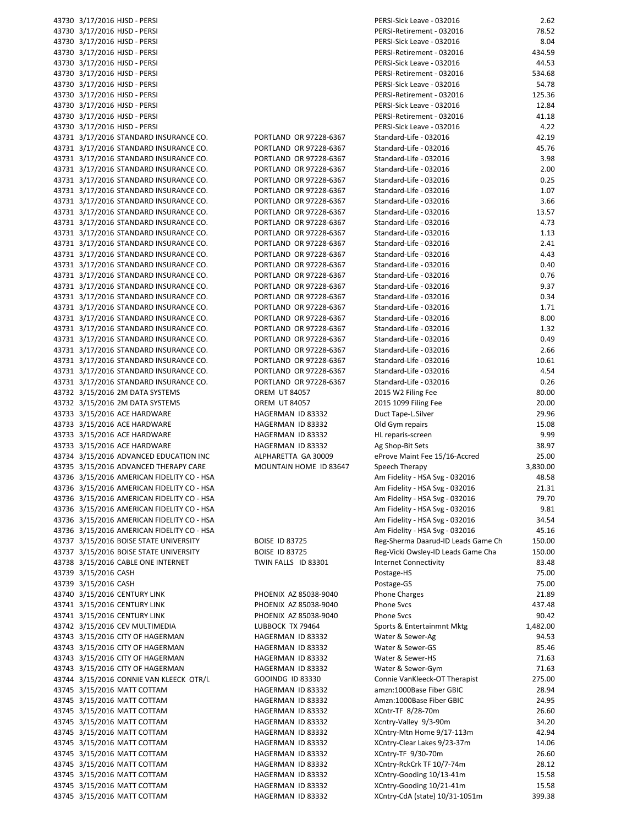| 43730 3/17/2016 HJSD - PERSI                               |                                        | PERSI-Sick Leave - 032016                                  | 2.62            |
|------------------------------------------------------------|----------------------------------------|------------------------------------------------------------|-----------------|
|                                                            |                                        |                                                            |                 |
| 43730 3/17/2016 HJSD - PERSI                               |                                        | PERSI-Retirement - 032016                                  | 78.52           |
| 43730 3/17/2016 HJSD - PERSI                               |                                        | PERSI-Sick Leave - 032016                                  | 8.04            |
| 43730 3/17/2016 HJSD - PERSI                               |                                        | PERSI-Retirement - 032016                                  | 434.59          |
| 43730 3/17/2016 HJSD - PERSI                               |                                        | PERSI-Sick Leave - 032016                                  | 44.53           |
| 43730 3/17/2016 HJSD - PERSI                               |                                        | PERSI-Retirement - 032016                                  | 534.68          |
|                                                            |                                        |                                                            |                 |
| 43730 3/17/2016 HJSD - PERSI                               |                                        | PERSI-Sick Leave - 032016                                  | 54.78           |
| 43730 3/17/2016 HJSD - PERSI                               |                                        | PERSI-Retirement - 032016                                  | 125.36          |
| 43730 3/17/2016 HJSD - PERSI                               |                                        | PERSI-Sick Leave - 032016                                  | 12.84           |
| 43730 3/17/2016 HJSD - PERSI                               |                                        | PERSI-Retirement - 032016                                  | 41.18           |
|                                                            |                                        |                                                            |                 |
| 43730 3/17/2016 HJSD - PERSI                               |                                        | PERSI-Sick Leave - 032016                                  | 4.22            |
| 43731 3/17/2016 STANDARD INSURANCE CO.                     | PORTLAND OR 97228-6367                 | Standard-Life - 032016                                     | 42.19           |
| 43731 3/17/2016 STANDARD INSURANCE CO.                     | PORTLAND OR 97228-6367                 | Standard-Life - 032016                                     | 45.76           |
| 43731 3/17/2016 STANDARD INSURANCE CO.                     | PORTLAND OR 97228-6367                 | Standard-Life - 032016                                     | 3.98            |
|                                                            | PORTLAND OR 97228-6367                 | Standard-Life - 032016                                     | 2.00            |
| 43731 3/17/2016 STANDARD INSURANCE CO.                     |                                        |                                                            |                 |
| 43731 3/17/2016 STANDARD INSURANCE CO.                     | PORTLAND OR 97228-6367                 | Standard-Life - 032016                                     | 0.25            |
| 43731 3/17/2016 STANDARD INSURANCE CO.                     | PORTLAND OR 97228-6367                 | Standard-Life - 032016                                     | 1.07            |
| 43731 3/17/2016 STANDARD INSURANCE CO.                     | PORTLAND OR 97228-6367                 | Standard-Life - 032016                                     | 3.66            |
|                                                            | PORTLAND OR 97228-6367                 | Standard-Life - 032016                                     | 13.57           |
| 43731 3/17/2016 STANDARD INSURANCE CO.                     |                                        |                                                            |                 |
| 43731 3/17/2016 STANDARD INSURANCE CO.                     | PORTLAND OR 97228-6367                 | Standard-Life - 032016                                     | 4.73            |
| 43731 3/17/2016 STANDARD INSURANCE CO.                     | PORTLAND OR 97228-6367                 | Standard-Life - 032016                                     | 1.13            |
| 43731 3/17/2016 STANDARD INSURANCE CO.                     | PORTLAND OR 97228-6367                 | Standard-Life - 032016                                     | 2.41            |
| 43731 3/17/2016 STANDARD INSURANCE CO.                     | PORTLAND OR 97228-6367                 | Standard-Life - 032016                                     | 4.43            |
|                                                            |                                        |                                                            |                 |
| 43731 3/17/2016 STANDARD INSURANCE CO.                     | PORTLAND OR 97228-6367                 | Standard-Life - 032016                                     | 0.40            |
| 43731 3/17/2016 STANDARD INSURANCE CO.                     | PORTLAND OR 97228-6367                 | Standard-Life - 032016                                     | 0.76            |
| 43731 3/17/2016 STANDARD INSURANCE CO.                     | PORTLAND OR 97228-6367                 | Standard-Life - 032016                                     | 9.37            |
|                                                            |                                        |                                                            |                 |
| 43731 3/17/2016 STANDARD INSURANCE CO.                     | PORTLAND OR 97228-6367                 | Standard-Life - 032016                                     | 0.34            |
| 43731 3/17/2016 STANDARD INSURANCE CO.                     | PORTLAND OR 97228-6367                 | Standard-Life - 032016                                     | 1.71            |
| 43731 3/17/2016 STANDARD INSURANCE CO.                     | PORTLAND OR 97228-6367                 | Standard-Life - 032016                                     | 8.00            |
| 43731 3/17/2016 STANDARD INSURANCE CO.                     | PORTLAND OR 97228-6367                 | Standard-Life - 032016                                     | 1.32            |
|                                                            |                                        |                                                            |                 |
| 43731 3/17/2016 STANDARD INSURANCE CO.                     | PORTLAND OR 97228-6367                 | Standard-Life - 032016                                     | 0.49            |
| 43731 3/17/2016 STANDARD INSURANCE CO.                     | PORTLAND OR 97228-6367                 | Standard-Life - 032016                                     | 2.66            |
| 43731 3/17/2016 STANDARD INSURANCE CO.                     | PORTLAND OR 97228-6367                 | Standard-Life - 032016                                     | 10.61           |
| 43731 3/17/2016 STANDARD INSURANCE CO.                     | PORTLAND OR 97228-6367                 | Standard-Life - 032016                                     | 4.54            |
| 43731 3/17/2016 STANDARD INSURANCE CO.                     | PORTLAND OR 97228-6367                 | Standard-Life - 032016                                     | 0.26            |
|                                                            |                                        |                                                            |                 |
| 43732 3/15/2016 2M DATA SYSTEMS                            | <b>OREM UT 84057</b>                   | 2015 W2 Filing Fee                                         | 80.00           |
| 43732 3/15/2016 2M DATA SYSTEMS                            | <b>OREM UT 84057</b>                   | 2015 1099 Filing Fee                                       | 20.00           |
| 43733 3/15/2016 ACE HARDWARE                               | HAGERMAN ID 83332                      | Duct Tape-L.Silver                                         | 29.96           |
|                                                            |                                        |                                                            |                 |
|                                                            |                                        |                                                            |                 |
| 43733 3/15/2016 ACE HARDWARE                               | HAGERMAN ID 83332                      | Old Gym repairs                                            | 15.08           |
| 43733 3/15/2016 ACE HARDWARE                               | HAGERMAN ID 83332                      | HL reparis-screen                                          | 9.99            |
| 43733 3/15/2016 ACE HARDWARE                               | HAGERMAN ID 83332                      | Ag Shop-Bit Sets                                           | 38.97           |
|                                                            | ALPHARETTA GA 30009                    |                                                            |                 |
| 43734 3/15/2016 ADVANCED EDUCATION INC                     |                                        | eProve Maint Fee 15/16-Accred                              | 25.00           |
| 43735 3/15/2016 ADVANCED THERAPY CARE                      | MOUNTAIN HOME ID 83647                 | Speech Therapy                                             | 3,830.00        |
| 43736 3/15/2016 AMERICAN FIDELITY CO - HSA                 |                                        | Am Fidelity - HSA Svg - 032016                             | 48.58           |
| 43736 3/15/2016 AMERICAN FIDELITY CO - HSA                 |                                        | Am Fidelity - HSA Svg - 032016                             | 21.31           |
| 43736 3/15/2016 AMERICAN FIDELITY CO - HSA                 |                                        | Am Fidelity - HSA Svg - 032016                             | 79.70           |
|                                                            |                                        |                                                            |                 |
| 43736 3/15/2016 AMERICAN FIDELITY CO - HSA                 |                                        | Am Fidelity - HSA Svg - 032016                             | 9.81            |
| 43736 3/15/2016 AMERICAN FIDELITY CO - HSA                 |                                        | Am Fidelity - HSA Svg - 032016                             | 34.54           |
| 43736 3/15/2016 AMERICAN FIDELITY CO - HSA                 |                                        | Am Fidelity - HSA Svg - 032016                             | 45.16           |
| 43737 3/15/2016 BOISE STATE UNIVERSITY                     | <b>BOISE ID 83725</b>                  | Reg-Sherma Daarud-ID Leads Game Ch                         | 150.00          |
|                                                            |                                        |                                                            |                 |
| 43737 3/15/2016 BOISE STATE UNIVERSITY                     | <b>BOISE ID 83725</b>                  | Reg-Vicki Owsley-ID Leads Game Cha                         | 150.00          |
| 43738 3/15/2016 CABLE ONE INTERNET                         | TWIN FALLS ID 83301                    | <b>Internet Connectivity</b>                               | 83.48           |
| 43739 3/15/2016 CASH                                       |                                        | Postage-HS                                                 | 75.00           |
| 43739 3/15/2016 CASH                                       |                                        | Postage-GS                                                 | 75.00           |
|                                                            |                                        |                                                            |                 |
| 43740 3/15/2016 CENTURY LINK                               | PHOENIX AZ 85038-9040                  | <b>Phone Charges</b>                                       | 21.89           |
| 43741 3/15/2016 CENTURY LINK                               | PHOENIX AZ 85038-9040                  | Phone Svcs                                                 | 437.48          |
| 43741 3/15/2016 CENTURY LINK                               | PHOENIX AZ 85038-9040                  | Phone Svcs                                                 | 90.42           |
| 43742 3/15/2016 CEV MULTIMEDIA                             | LUBBOCK TX 79464                       | Sports & Entertainmnt Mktg                                 | 1,482.00        |
|                                                            |                                        |                                                            |                 |
| 43743 3/15/2016 CITY OF HAGERMAN                           | HAGERMAN ID 83332                      | Water & Sewer-Ag                                           | 94.53           |
| 43743 3/15/2016 CITY OF HAGERMAN                           | HAGERMAN ID 83332                      | Water & Sewer-GS                                           | 85.46           |
| 43743 3/15/2016 CITY OF HAGERMAN                           | HAGERMAN ID 83332                      | Water & Sewer-HS                                           | 71.63           |
| 43743 3/15/2016 CITY OF HAGERMAN                           | HAGERMAN ID 83332                      | Water & Sewer-Gym                                          | 71.63           |
|                                                            |                                        |                                                            |                 |
| 43744 3/15/2016 CONNIE VAN KLEECK OTR/L                    | GOOINDG ID 83330                       | Connie VanKleeck-OT Therapist                              | 275.00          |
| 43745 3/15/2016 MATT COTTAM                                | HAGERMAN ID 83332                      | amzn:1000Base Fiber GBIC                                   | 28.94           |
| 43745 3/15/2016 MATT COTTAM                                | HAGERMAN ID 83332                      | Amzn:1000Base Fiber GBIC                                   | 24.95           |
| 43745 3/15/2016 MATT COTTAM                                | HAGERMAN ID 83332                      | XCntr-TF 8/28-70m                                          | 26.60           |
| 43745 3/15/2016 MATT COTTAM                                | HAGERMAN ID 83332                      | Xcntry-Valley 9/3-90m                                      | 34.20           |
|                                                            |                                        |                                                            |                 |
| 43745 3/15/2016 MATT COTTAM                                | HAGERMAN ID 83332                      | XCntry-Mtn Home 9/17-113m                                  | 42.94           |
| 43745 3/15/2016 MATT COTTAM                                | HAGERMAN ID 83332                      | XCntry-Clear Lakes 9/23-37m                                | 14.06           |
| 43745 3/15/2016 MATT COTTAM                                | HAGERMAN ID 83332                      | XCntry-TF 9/30-70m                                         | 26.60           |
| 43745 3/15/2016 MATT COTTAM                                | HAGERMAN ID 83332                      | XCntry-RckCrk TF 10/7-74m                                  | 28.12           |
|                                                            |                                        |                                                            |                 |
| 43745 3/15/2016 MATT COTTAM                                | HAGERMAN ID 83332                      | XCntry-Gooding 10/13-41m                                   | 15.58           |
| 43745 3/15/2016 MATT COTTAM<br>43745 3/15/2016 MATT COTTAM | HAGERMAN ID 83332<br>HAGERMAN ID 83332 | XCntry-Gooding 10/21-41m<br>XCntry-CdA (state) 10/31-1051m | 15.58<br>399.38 |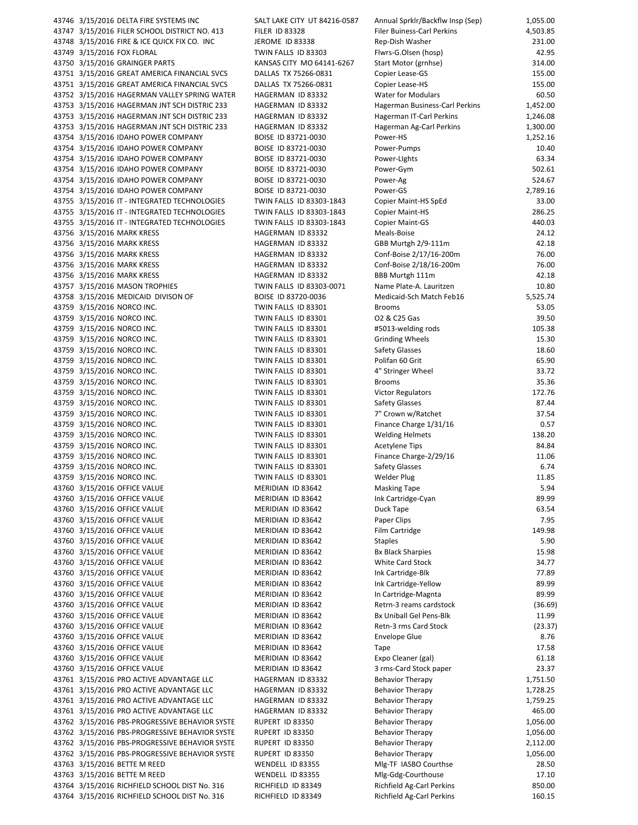43746 3/15/2016 DELTA FIRE SYSTEMS INC SALT LAKE CITY UT 84216-0587 43747 3/15/2016 FILER SCHOOL DISTRICT NO. 413 FILER ID 83328 43748 3/15/2016 FIRE & ICE QUICK FIX CO. INC JEROME ID 83338 43749 3/15/2016 FOX FLORAL TWIN FALLS ID 83303 43750 3/15/2016 GRAINGER PARTS KANSAS CITY MO 64141-6267 43751 3/15/2016 GREAT AMERICA FINANCIAL SVCS DALLAS TX 75266-0831 43751 3/15/2016 GREAT AMERICA FINANCIAL SVCS DALLAS TX 75266-0831 43752 3/15/2016 HAGERMAN VALLEY SPRING WATER HAGERMAN ID 83332 43753 3/15/2016 HAGERMAN JNT SCH DISTRIC 233 HAGERMAN ID 83332 43753 3/15/2016 HAGERMAN JNT SCH DISTRIC 233 HAGERMAN ID 83332 43753 3/15/2016 HAGERMAN JNT SCH DISTRIC 233 HAGERMAN ID 83332 43754 3/15/2016 IDAHO POWER COMPANY BOISE ID 83721-0030 43754 3/15/2016 IDAHO POWER COMPANY BOISE ID 83721-0030 43754 3/15/2016 IDAHO POWER COMPANY BOISE ID 83721-0030 43754 3/15/2016 IDAHO POWER COMPANY BOISE ID 83721-0030 43754 3/15/2016 IDAHO POWER COMPANY BOISE ID 83721-0030 43754 3/15/2016 IDAHO POWER COMPANY BOISE ID 83721-0030 43755 3/15/2016 IT - INTEGRATED TECHNOLOGIES TWIN FALLS ID 83303-1843 43755 3/15/2016 IT - INTEGRATED TECHNOLOGIES TWIN FALLS ID 83303-1843 43755 3/15/2016 IT - INTEGRATED TECHNOLOGIES TWIN FALLS ID 83303-1843 43756 3/15/2016 MARK KRESS HAGERMAN ID 83332 43756 3/15/2016 MARK KRESS HAGERMAN ID 83332 43756 3/15/2016 MARK KRESS HAGERMAN ID 83332 43756 3/15/2016 MARK KRESS HAGERMAN ID 83332 43756 3/15/2016 MARK KRESS HAGERMAN ID 83332 43757 3/15/2016 MASON TROPHIES TWIN FALLS ID 83303-0071 43758 3/15/2016 MEDICAID DIVISON OF BOISE ID 83720-0036 43759 3/15/2016 NORCO INC. TWIN FALLS ID 83301 43759 3/15/2016 NORCO INC. TWIN FALLS ID 83301 43759 3/15/2016 NORCO INC. TWIN FALLS ID 83301 43759 3/15/2016 NORCO INC. TWIN FALLS ID 83301 43759 3/15/2016 NORCO INC. TWIN FALLS ID 83301 43759 3/15/2016 NORCO INC. TWIN FALLS ID 83301 43759 3/15/2016 NORCO INC. TWIN FALLS ID 83301 43759 3/15/2016 NORCO INC. TWIN FALLS ID 83301 43759 3/15/2016 NORCO INC. TWIN FALLS ID 83301 43759 3/15/2016 NORCO INC. TWIN FALLS ID 83301 43759 3/15/2016 NORCO INC. TWIN FALLS ID 83301 43759 3/15/2016 NORCO INC. TWIN FALLS ID 83301 43759 3/15/2016 NORCO INC. TWIN FALLS ID 83301 43759 3/15/2016 NORCO INC. TWIN FALLS ID 83301 43759 3/15/2016 NORCO INC. TWIN FALLS ID 83301 43759 3/15/2016 NORCO INC. TWIN FALLS ID 83301 43759 3/15/2016 NORCO INC. TWIN FALLS ID 83301 43760 3/15/2016 OFFICE VALUE MERIDIAN ID 83642 43760 3/15/2016 OFFICE VALUE MERIDIAN ID 83642 43760 3/15/2016 OFFICE VALUE MERIDIAN ID 83642 43760 3/15/2016 OFFICE VALUE MERIDIAN ID 83642 43760 3/15/2016 OFFICE VALUE MERIDIAN ID 83642 43760 3/15/2016 OFFICE VALUE MERIDIAN ID 83642 43760 3/15/2016 OFFICE VALUE MERIDIAN ID 83642 43760 3/15/2016 OFFICE VALUE MERIDIAN ID 83642 43760 3/15/2016 OFFICE VALUE MERIDIAN ID 83642 43760 3/15/2016 OFFICE VALUE MERIDIAN ID 83642 43760 3/15/2016 OFFICE VALUE MERIDIAN ID 83642 43760 3/15/2016 OFFICE VALUE MERIDIAN ID 83642 Retrn-3 reams cardstock (36.69) 43760 3/15/2016 OFFICE VALUE MERIDIAN ID 83642 43760 3/15/2016 OFFICE VALUE MERIDIAN ID 83642 Retn-3 rms Card Stock (23.37) 43760 3/15/2016 OFFICE VALUE MERIDIAN ID 83642 43760 3/15/2016 OFFICE VALUE MERIDIAN ID 83642 43760 3/15/2016 OFFICE VALUE MERIDIAN ID 83642 43760 3/15/2016 OFFICE VALUE MERIDIAN ID 83642 43761 3/15/2016 PRO ACTIVE ADVANTAGE LLC HAGERMAN ID 83332 43761 3/15/2016 PRO ACTIVE ADVANTAGE LLC HAGERMAN ID 83332 43761 3/15/2016 PRO ACTIVE ADVANTAGE LLC HAGERMAN ID 83332 43761 3/15/2016 PRO ACTIVE ADVANTAGE LLC HAGERMAN ID 83332 43762 3/15/2016 PBS-PROGRESSIVE BEHAVIOR SYSTE RUPERT ID 83350 43762 3/15/2016 PBS-PROGRESSIVE BEHAVIOR SYSTE RUPERT ID 83350 43762 3/15/2016 PBS-PROGRESSIVE BEHAVIOR SYSTE RUPERT ID 83350 43762 3/15/2016 PBS-PROGRESSIVE BEHAVIOR SYSTE RUPERT ID 83350 43763 3/15/2016 BETTE M REED WENDELL ID 83355 43763 3/15/2016 BETTE M REED WENDELL ID 83355 43764 3/15/2016 RICHFIELD SCHOOL DIST No. 316 RICHFIELD ID 83349 43764 3/15/2016 RICHFIELD SCHOOL DIST No. 316 RICHFIELD ID 83349

| Annual Sprklr/Backflw Insp (Sep)                        | 1,055.00           |
|---------------------------------------------------------|--------------------|
| <b>Filer Buiness-Carl Perkins</b>                       | 4,503.85           |
| Rep-Dish Washer                                         | 231.00             |
| Flwrs-G.Olsen (hosp)<br>Start Motor (grnhse)            | 42.95<br>314.00    |
| Copier Lease-GS                                         | 155.00             |
| Copier Lease-HS                                         | 155.00             |
| <b>Water for Modulars</b>                               | 60.50              |
| Hagerman Business-Carl Perkins                          | 1,452.00           |
| Hagerman IT-Carl Perkins                                | 1,246.08           |
| Hagerman Ag-Carl Perkins                                | 1,300.00           |
| Power-HS<br>Power-Pumps                                 | 1,252.16<br>10.40  |
| Power-Lights                                            | 63.34              |
| Power-Gym                                               | 502.61             |
| Power-Ag                                                | 524.67             |
| Power-GS                                                | 2,789.16           |
| Copier Maint-HS SpEd                                    | 33.00              |
| Copier Maint-HS                                         | 286.25             |
| <b>Copier Maint-GS</b><br>Meals-Boise                   | 440.03<br>24.12    |
| GBB Murtgh 2/9-111m                                     | 42.18              |
| Conf-Boise 2/17/16-200m                                 | 76.00              |
| Conf-Boise 2/18/16-200m                                 | 76.00              |
| BBB Murtgh 111m                                         | 42.18              |
| Name Plate-A. Lauritzen                                 | 10.80              |
| Medicaid-Sch Match Feb16<br><b>Brooms</b>               | 5,525.74<br>53.05  |
| O2 & C25 Gas                                            | 39.50              |
| #5013-welding rods                                      | 105.38             |
| <b>Grinding Wheels</b>                                  | 15.30              |
| Safety Glasses                                          | 18.60              |
| Polifan 60 Grit                                         | 65.90              |
| 4" Stringer Wheel                                       | 33.72              |
| <b>Brooms</b><br><b>Victor Regulators</b>               | 35.36<br>172.76    |
| Safety Glasses                                          | 87.44              |
| 7" Crown w/Ratchet                                      | 37.54              |
| Finance Charge 1/31/16                                  | 0.57               |
| <b>Welding Helmets</b>                                  | 138.20             |
| <b>Acetylene Tips</b>                                   | 84.84              |
| Finance Charge-2/29/16<br>Safety Glasses                | 11.06<br>6.74      |
| Welder Plug                                             | 11.85              |
| <b>Masking Tape</b>                                     | 5.94               |
| Ink Cartridge-Cyan                                      | 89.99              |
| Duck Tape                                               | 63.54              |
| Paper Clips                                             | 7.95               |
| Film Cartridge                                          | 149.98<br>5.90     |
| <b>Staples</b><br><b>Bx Black Sharpies</b>              | 15.98              |
| <b>White Card Stock</b>                                 | 34.77              |
| Ink Cartridge-Blk                                       | 77.89              |
| Ink Cartridge-Yellow                                    | 89.99              |
| In Cartridge-Magnta                                     | 89.99              |
| Retrn-3 reams cardstock                                 | (36.69)            |
| <b>Bx Uniball Gel Pens-Blk</b><br>Retn-3 rms Card Stock | 11.99<br>(23.37)   |
| <b>Envelope Glue</b>                                    | 8.76               |
| Tape                                                    | 17.58              |
| Expo Cleaner (gal)                                      | 61.18              |
| 3 rms-Card Stock paper                                  | 23.37              |
| <b>Behavior Therapy</b>                                 | 1,751.50           |
| <b>Behavior Therapy</b>                                 | 1,728.25           |
| <b>Behavior Therapy</b><br><b>Behavior Therapy</b>      | 1,759.25<br>465.00 |
| <b>Behavior Therapy</b>                                 | 1,056.00           |
| <b>Behavior Therapy</b>                                 | 1,056.00           |
| <b>Behavior Therapy</b>                                 | 2,112.00           |
| <b>Behavior Therapy</b>                                 | 1,056.00           |
| Mlg-TF IASBO Courthse                                   | 28.50              |
| Mlg-Gdg-Courthouse<br>Richfield Ag-Carl Perkins         | 17.10<br>850.00    |
| Richfield Ag-Carl Perkins                               | 160.15             |
|                                                         |                    |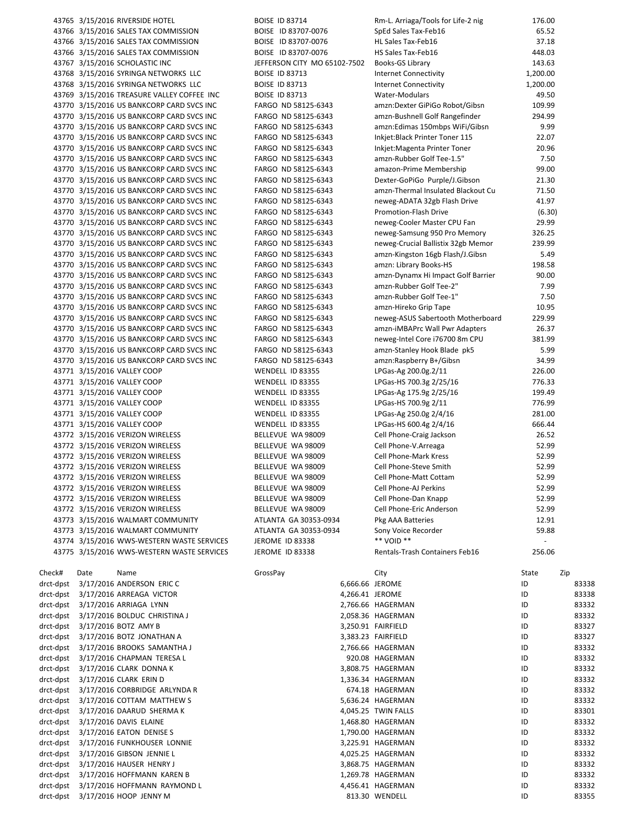|                        | 43765 3/15/2016 RIVERSIDE HOTEL                                                        | <b>BOISE ID 83714</b>                      |                 | Rm-L. Arriaga/Tools for Life-2 nig                               | 176.00                   |                |
|------------------------|----------------------------------------------------------------------------------------|--------------------------------------------|-----------------|------------------------------------------------------------------|--------------------------|----------------|
|                        | 43766 3/15/2016 SALES TAX COMMISSION                                                   | BOISE ID 83707-0076                        |                 | SpEd Sales Tax-Feb16                                             | 65.52                    |                |
|                        | 43766 3/15/2016 SALES TAX COMMISSION                                                   | BOISE ID 83707-0076                        |                 | HL Sales Tax-Feb16                                               | 37.18                    |                |
|                        | 43766 3/15/2016 SALES TAX COMMISSION                                                   | BOISE ID 83707-0076                        |                 | HS Sales Tax-Feb16                                               | 448.03                   |                |
|                        | 43767 3/15/2016 SCHOLASTIC INC                                                         | JEFFERSON CITY MO 65102-7502               |                 | Books-GS Library                                                 | 143.63                   |                |
|                        | 43768 3/15/2016 SYRINGA NETWORKS LLC                                                   | <b>BOISE ID 83713</b>                      |                 | <b>Internet Connectivity</b>                                     | 1,200.00                 |                |
|                        | 43768 3/15/2016 SYRINGA NETWORKS LLC                                                   | <b>BOISE ID 83713</b>                      |                 | <b>Internet Connectivity</b>                                     | 1,200.00                 |                |
|                        | 43769 3/15/2016 TREASURE VALLEY COFFEE INC                                             | <b>BOISE ID 83713</b>                      |                 | Water-Modulars                                                   | 49.50                    |                |
|                        | 43770 3/15/2016 US BANKCORP CARD SVCS INC<br>43770 3/15/2016 US BANKCORP CARD SVCS INC | FARGO ND 58125-6343<br>FARGO ND 58125-6343 |                 | amzn:Dexter GiPiGo Robot/Gibsn<br>amzn-Bushnell Golf Rangefinder | 109.99<br>294.99         |                |
|                        | 43770 3/15/2016 US BANKCORP CARD SVCS INC                                              | FARGO ND 58125-6343                        |                 | amzn:Edimas 150mbps WiFi/Gibsn                                   | 9.99                     |                |
|                        | 43770 3/15/2016 US BANKCORP CARD SVCS INC                                              | FARGO ND 58125-6343                        |                 | Inkjet:Black Printer Toner 115                                   | 22.07                    |                |
|                        | 43770 3/15/2016 US BANKCORP CARD SVCS INC                                              | FARGO ND 58125-6343                        |                 | Inkjet: Magenta Printer Toner                                    | 20.96                    |                |
|                        | 43770 3/15/2016 US BANKCORP CARD SVCS INC                                              | FARGO ND 58125-6343                        |                 | amzn-Rubber Golf Tee-1.5"                                        | 7.50                     |                |
|                        | 43770 3/15/2016 US BANKCORP CARD SVCS INC                                              | FARGO ND 58125-6343                        |                 | amazon-Prime Membership                                          | 99.00                    |                |
|                        | 43770 3/15/2016 US BANKCORP CARD SVCS INC                                              | FARGO ND 58125-6343                        |                 | Dexter-GoPiGo Purple/J.Gibson                                    | 21.30                    |                |
|                        | 43770 3/15/2016 US BANKCORP CARD SVCS INC                                              | FARGO ND 58125-6343                        |                 | amzn-Thermal Insulated Blackout Cu                               | 71.50                    |                |
|                        | 43770 3/15/2016 US BANKCORP CARD SVCS INC                                              | FARGO ND 58125-6343                        |                 | neweg-ADATA 32gb Flash Drive                                     | 41.97                    |                |
|                        | 43770 3/15/2016 US BANKCORP CARD SVCS INC                                              | FARGO ND 58125-6343                        |                 | Promotion-Flash Drive                                            | (6.30)                   |                |
|                        | 43770 3/15/2016 US BANKCORP CARD SVCS INC                                              | FARGO ND 58125-6343                        |                 | neweg-Cooler Master CPU Fan                                      | 29.99                    |                |
|                        | 43770 3/15/2016 US BANKCORP CARD SVCS INC                                              | FARGO ND 58125-6343                        |                 | neweg-Samsung 950 Pro Memory                                     | 326.25                   |                |
|                        | 43770 3/15/2016 US BANKCORP CARD SVCS INC                                              | FARGO ND 58125-6343                        |                 | neweg-Crucial Ballistix 32gb Memor                               | 239.99                   |                |
|                        | 43770 3/15/2016 US BANKCORP CARD SVCS INC                                              | FARGO ND 58125-6343                        |                 | amzn-Kingston 16gb Flash/J.Gibsn                                 | 5.49                     |                |
|                        | 43770 3/15/2016 US BANKCORP CARD SVCS INC                                              | FARGO ND 58125-6343                        |                 | amzn: Library Books-HS                                           | 198.58                   |                |
|                        | 43770 3/15/2016 US BANKCORP CARD SVCS INC                                              | FARGO ND 58125-6343                        |                 | amzn-Dynamx Hi Impact Golf Barrier                               | 90.00                    |                |
|                        | 43770 3/15/2016 US BANKCORP CARD SVCS INC                                              | FARGO ND 58125-6343                        |                 | amzn-Rubber Golf Tee-2"                                          | 7.99                     |                |
|                        | 43770 3/15/2016 US BANKCORP CARD SVCS INC                                              | FARGO ND 58125-6343                        |                 | amzn-Rubber Golf Tee-1"                                          | 7.50                     |                |
|                        | 43770 3/15/2016 US BANKCORP CARD SVCS INC                                              | FARGO ND 58125-6343                        |                 | amzn-Hireko Grip Tape                                            | 10.95                    |                |
|                        | 43770 3/15/2016 US BANKCORP CARD SVCS INC                                              | FARGO ND 58125-6343                        |                 | neweg-ASUS Sabertooth Motherboard                                | 229.99                   |                |
|                        | 43770 3/15/2016 US BANKCORP CARD SVCS INC                                              | FARGO ND 58125-6343                        |                 | amzn-iMBAPrc Wall Pwr Adapters                                   | 26.37                    |                |
|                        | 43770 3/15/2016 US BANKCORP CARD SVCS INC                                              | FARGO ND 58125-6343                        |                 | neweg-Intel Core i76700 8m CPU                                   | 381.99                   |                |
|                        | 43770 3/15/2016 US BANKCORP CARD SVCS INC                                              | FARGO ND 58125-6343                        |                 | amzn-Stanley Hook Blade pk5                                      | 5.99                     |                |
|                        | 43770 3/15/2016 US BANKCORP CARD SVCS INC                                              | FARGO ND 58125-6343                        |                 | amzn:Raspberry B+/Gibsn                                          | 34.99                    |                |
|                        | 43771 3/15/2016 VALLEY COOP                                                            | WENDELL ID 83355                           |                 | LPGas-Ag 200.0g.2/11                                             | 226.00                   |                |
|                        | 43771 3/15/2016 VALLEY COOP                                                            | WENDELL ID 83355                           |                 | LPGas-HS 700.3g 2/25/16                                          | 776.33                   |                |
|                        | 43771 3/15/2016 VALLEY COOP                                                            | WENDELL ID 83355                           |                 | LPGas-Ag 175.9g 2/25/16                                          | 199.49                   |                |
|                        | 43771 3/15/2016 VALLEY COOP<br>43771 3/15/2016 VALLEY COOP                             | WENDELL ID 83355<br>WENDELL ID 83355       |                 | LPGas-HS 700.9g 2/11<br>LPGas-Ag 250.0g 2/4/16                   | 776.99<br>281.00         |                |
|                        | 43771 3/15/2016 VALLEY COOP                                                            | WENDELL ID 83355                           |                 | LPGas-HS 600.4g 2/4/16                                           | 666.44                   |                |
|                        | 43772 3/15/2016 VERIZON WIRELESS                                                       | BELLEVUE WA 98009                          |                 | Cell Phone-Craig Jackson                                         | 26.52                    |                |
|                        | 43772 3/15/2016 VERIZON WIRELESS                                                       | BELLEVUE WA 98009                          |                 | Cell Phone-V.Arreaga                                             | 52.99                    |                |
|                        | 43772 3/15/2016 VERIZON WIRELESS                                                       | BELLEVUE WA 98009                          |                 | <b>Cell Phone-Mark Kress</b>                                     | 52.99                    |                |
|                        | 43772 3/15/2016 VERIZON WIRELESS                                                       | BELLEVUE WA 98009                          |                 | Cell Phone-Steve Smith                                           | 52.99                    |                |
|                        | 43772 3/15/2016 VERIZON WIRELESS                                                       | BELLEVUE WA 98009                          |                 | Cell Phone-Matt Cottam                                           | 52.99                    |                |
|                        | 43772 3/15/2016 VERIZON WIRELESS                                                       | BELLEVUE WA 98009                          |                 | Cell Phone-AJ Perkins                                            | 52.99                    |                |
|                        | 43772 3/15/2016 VERIZON WIRELESS                                                       | BELLEVUE WA 98009                          |                 | Cell Phone-Dan Knapp                                             | 52.99                    |                |
|                        | 43772 3/15/2016 VERIZON WIRELESS                                                       | BELLEVUE WA 98009                          |                 | Cell Phone-Eric Anderson                                         | 52.99                    |                |
|                        | 43773 3/15/2016 WALMART COMMUNITY                                                      | ATLANTA GA 30353-0934                      |                 | Pkg AAA Batteries                                                | 12.91                    |                |
|                        | 43773 3/15/2016 WALMART COMMUNITY                                                      | ATLANTA GA 30353-0934                      |                 | Sony Voice Recorder                                              | 59.88                    |                |
|                        | 43774 3/15/2016 WWS-WESTERN WASTE SERVICES                                             | JEROME ID 83338                            |                 | ** VOID **                                                       | $\overline{\phantom{a}}$ |                |
|                        | 43775 3/15/2016 WWS-WESTERN WASTE SERVICES                                             | JEROME ID 83338                            |                 | Rentals-Trash Containers Feb16                                   | 256.06                   |                |
|                        |                                                                                        |                                            |                 |                                                                  |                          |                |
| Check#                 | Date<br>Name                                                                           | GrossPay                                   |                 | City                                                             | State                    | Zip            |
| drct-dpst              | 3/17/2016 ANDERSON ERIC C                                                              |                                            | 6,666.66 JEROME |                                                                  | ID                       | 83338          |
| drct-dpst              | 3/17/2016 ARREAGA VICTOR                                                               |                                            | 4,266.41 JEROME |                                                                  | ID                       | 83338          |
| drct-dpst              | 3/17/2016 ARRIAGA LYNN                                                                 |                                            |                 | 2,766.66 HAGERMAN                                                | ID                       | 83332          |
| drct-dpst              | 3/17/2016 BOLDUC CHRISTINA J                                                           |                                            |                 | 2,058.36 HAGERMAN                                                | ID                       | 83332          |
| drct-dpst              | 3/17/2016 BOTZ AMY B                                                                   |                                            |                 | 3,250.91 FAIRFIELD                                               | ID                       | 83327          |
| drct-dpst              | 3/17/2016 BOTZ JONATHAN A                                                              |                                            |                 | 3,383.23 FAIRFIELD                                               | ID                       | 83327          |
| drct-dpst              | 3/17/2016 BROOKS SAMANTHA J                                                            |                                            |                 | 2,766.66 HAGERMAN                                                | ID                       | 83332          |
| drct-dpst              | 3/17/2016 CHAPMAN TERESA L                                                             |                                            |                 | 920.08 HAGERMAN                                                  | ID                       | 83332          |
| drct-dpst              | 3/17/2016 CLARK DONNA K                                                                |                                            |                 | 3,808.75 HAGERMAN                                                | ID                       | 83332          |
| drct-dpst              | 3/17/2016 CLARK ERIN D                                                                 |                                            |                 | 1,336.34 HAGERMAN                                                | ID                       | 83332          |
| drct-dpst              | 3/17/2016 CORBRIDGE ARLYNDA R                                                          |                                            |                 | 674.18 HAGERMAN                                                  | ID                       | 83332          |
| drct-dpst              | 3/17/2016 COTTAM MATTHEW S                                                             |                                            |                 | 5,636.24 HAGERMAN                                                | ID                       | 83332          |
| drct-dpst              | 3/17/2016 DAARUD SHERMA K                                                              |                                            |                 | 4,045.25 TWIN FALLS                                              | ID                       | 83301          |
| drct-dpst              | 3/17/2016 DAVIS ELAINE                                                                 |                                            |                 | 1,468.80 HAGERMAN                                                | ID                       | 83332          |
| drct-dpst<br>drct-dpst | 3/17/2016 EATON DENISE S                                                               |                                            |                 | 1,790.00 HAGERMAN                                                | ID<br>ID                 | 83332<br>83332 |
| drct-dpst              | 3/17/2016 FUNKHOUSER LONNIE<br>3/17/2016 GIBSON JENNIE L                               |                                            |                 | 3,225.91 HAGERMAN<br>4,025.25 HAGERMAN                           | ID                       | 83332          |
| drct-dpst              | 3/17/2016 HAUSER HENRY J                                                               |                                            |                 | 3,868.75 HAGERMAN                                                | ID                       | 83332          |
| drct-dpst              | 3/17/2016 HOFFMANN KAREN B                                                             |                                            |                 | 1,269.78 HAGERMAN                                                | ID                       | 83332          |
| drct-dpst              | 3/17/2016 HOFFMANN RAYMOND L                                                           |                                            |                 | 4,456.41 HAGERMAN                                                | ID                       | 83332          |
| drct-dpst              | 3/17/2016 HOOP JENNY M                                                                 |                                            |                 | 813.30 WENDELL                                                   | ID                       | 83355          |
|                        |                                                                                        |                                            |                 |                                                                  |                          |                |